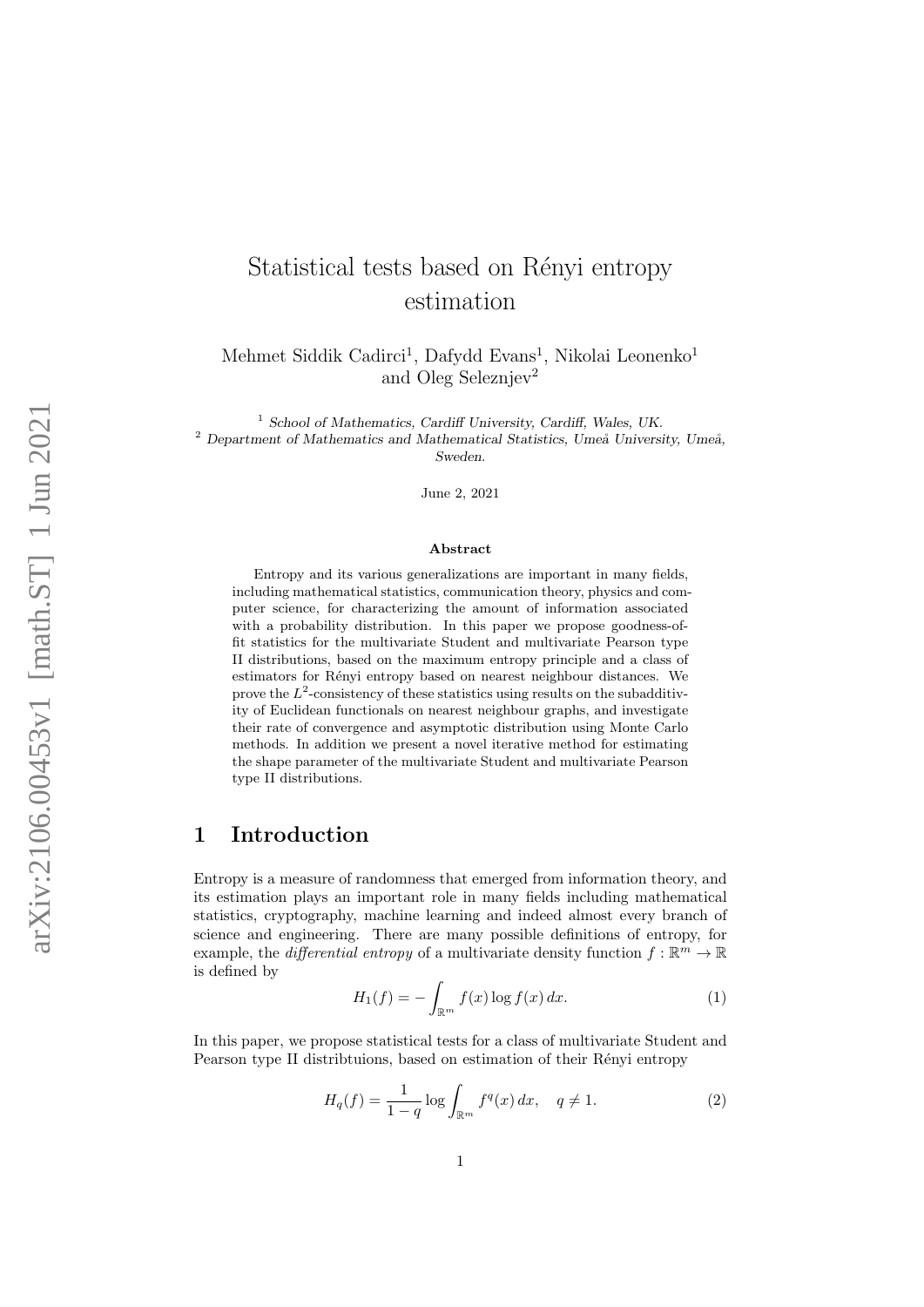# Statistical tests based on Rényi entropy estimation

Mehmet Siddik Cadirci<sup>1</sup>, Dafydd Evans<sup>1</sup>, Nikolai Leonenko<sup>1</sup> and Oleg Seleznjev 2

<sup>1</sup> School of Mathematics, Cardiff University, Cardiff, Wales, UK.

 $2$  Department of Mathematics and Mathematical Statistics, Umeå University, Umeå, Sweden.

June 2, 2021

#### Abstract

Entropy and its various generalizations are important in many fields, including mathematical statistics, communication theory, physics and computer science, for characterizing the amount of information associated with a probability distribution. In this paper we propose goodness-offit statistics for the multivariate Student and multivariate Pearson type II distributions, based on the maximum entropy principle and a class of estimators for Rényi entropy based on nearest neighbour distances. We prove the  $L^2$ -consistency of these statistics using results on the subadditivity of Euclidean functionals on nearest neighbour graphs, and investigate their rate of convergence and asymptotic distribution using Monte Carlo methods. In addition we present a novel iterative method for estimating the shape parameter of the multivariate Student and multivariate Pearson type II distributions.

## 1 Introduction

Entropy is a measure of randomness that emerged from information theory, and its estimation plays an important role in many fields including mathematical statistics, cryptography, machine learning and indeed almost every branch of science and engineering. There are many possible definitions of entropy, for example, the *differential entropy* of a multivariate density function  $f : \mathbb{R}^m \to \mathbb{R}$ is defined by

$$
H_1(f) = -\int_{\mathbb{R}^m} f(x) \log f(x) dx.
$$
 (1)

In this paper, we propose statistical tests for a class of multivariate Student and Pearson type II distribtuions, based on estimation of their Rényi entropy

$$
H_q(f) = \frac{1}{1-q} \log \int_{\mathbb{R}^m} f^q(x) \, dx, \quad q \neq 1. \tag{2}
$$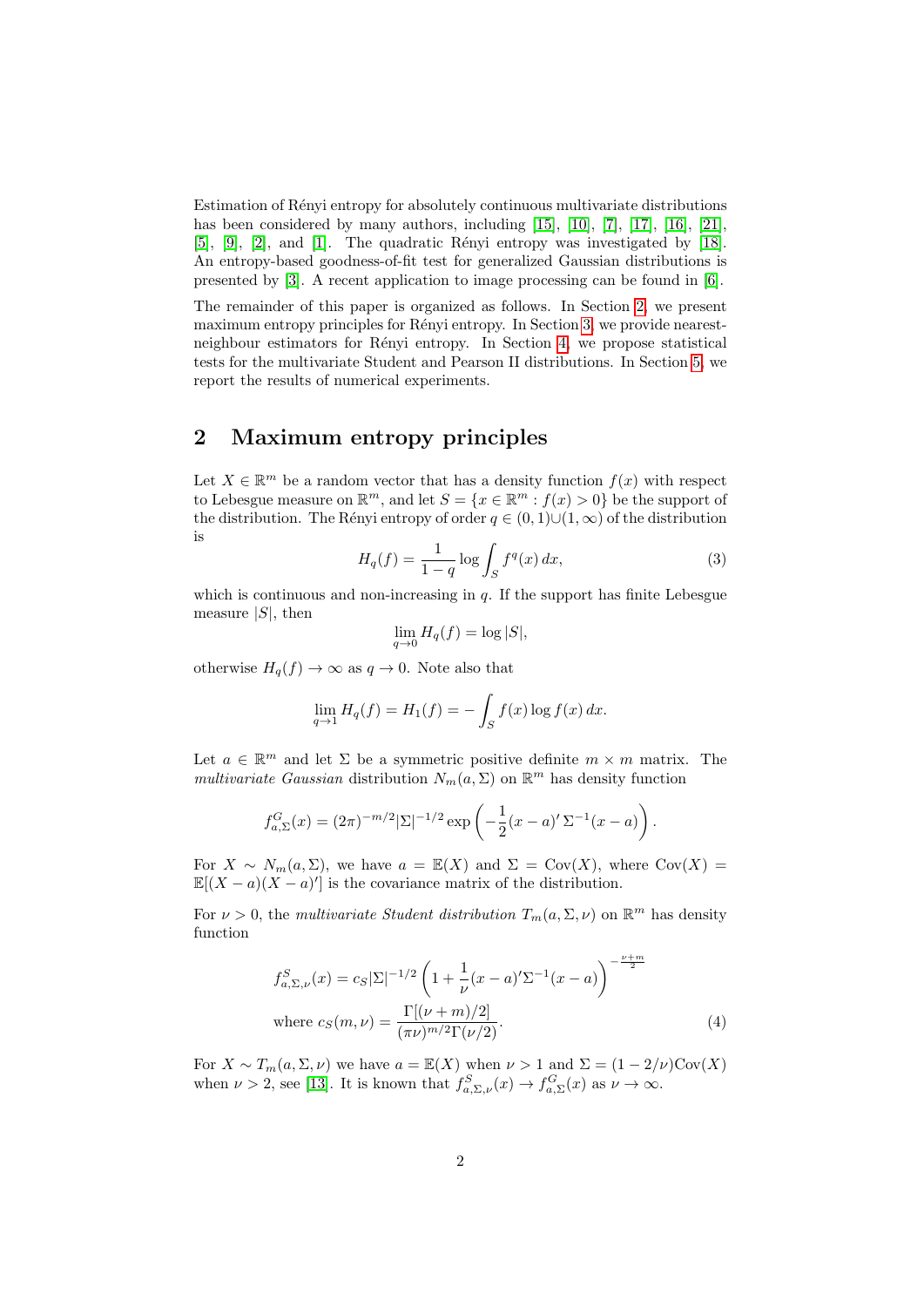Estimation of Rényi entropy for absolutely continuous multivariate distributions has been considered by many authors, including [\[15\]](#page-12-0), [\[10\]](#page-12-1), [\[7\]](#page-12-2), [\[17\]](#page-13-0), [\[16\]](#page-13-1), [\[21\]](#page-13-2),  $[5]$ ,  $[9]$ ,  $[2]$ , and  $[1]$ . The quadratic Rényi entropy was investigated by  $[18]$ . An entropy-based goodness-of-fit test for generalized Gaussian distributions is presented by [\[3\]](#page-12-7). A recent application to image processing can be found in [\[6\]](#page-12-8).

The remainder of this paper is organized as follows. In Section [2,](#page-1-0) we present maximum entropy principles for Rényi entropy. In Section [3,](#page-4-0) we provide nearest-neighbour estimators for Rényi entropy. In Section [4,](#page-8-0) we propose statistical tests for the multivariate Student and Pearson II distributions. In Section [5,](#page-9-0) we report the results of numerical experiments.

# <span id="page-1-0"></span>2 Maximum entropy principles

Let  $X \in \mathbb{R}^m$  be a random vector that has a density function  $f(x)$  with respect to Lebesgue measure on  $\mathbb{R}^m$ , and let  $S = \{x \in \mathbb{R}^m : f(x) > 0\}$  be the support of the distribution. The Rényi entropy of order  $q \in (0, 1) \cup (1, \infty)$  of the distribution is

$$
H_q(f) = \frac{1}{1-q} \log \int_S f^q(x) \, dx,\tag{3}
$$

which is continuous and non-increasing in  $q$ . If the support has finite Lebesgue measure  $|S|$ , then

$$
\lim_{q \to 0} H_q(f) = \log |S|,
$$

otherwise  $H_q(f) \to \infty$  as  $q \to 0$ . Note also that

$$
\lim_{q \to 1} H_q(f) = H_1(f) = -\int_S f(x) \log f(x) \, dx.
$$

Let  $a \in \mathbb{R}^m$  and let  $\Sigma$  be a symmetric positive definite  $m \times m$  matrix. The multivariate Gaussian distribution  $N_m(a,\Sigma)$  on  $\mathbb{R}^m$  has density function

$$
f_{a,\Sigma}^G(x) = (2\pi)^{-m/2} |\Sigma|^{-1/2} \exp\left(-\frac{1}{2}(x-a)' \Sigma^{-1}(x-a)\right).
$$

For  $X \sim N_m(a, \Sigma)$ , we have  $a = \mathbb{E}(X)$  and  $\Sigma = \text{Cov}(X)$ , where  $\text{Cov}(X) =$  $\mathbb{E}[(X-a)(X-a)^t]$  is the covariance matrix of the distribution.

For  $\nu > 0$ , the multivariate Student distribution  $T_m(a, \Sigma, \nu)$  on  $\mathbb{R}^m$  has density function

$$
f_{a,\Sigma,\nu}^{S}(x) = c_{S} |\Sigma|^{-1/2} \left( 1 + \frac{1}{\nu} (x - a)' \Sigma^{-1} (x - a) \right)^{-\frac{\nu + m}{2}}
$$
  
where  $c_{S}(m, \nu) = \frac{\Gamma[(\nu + m)/2]}{(\pi \nu)^{m/2} \Gamma(\nu/2)}$ . (4)

For  $X \sim T_m(a, \Sigma, \nu)$  we have  $a = \mathbb{E}(X)$  when  $\nu > 1$  and  $\Sigma = (1 - 2/\nu)Cov(X)$ when  $\nu > 2$ , see [\[13\]](#page-12-9). It is known that  $f_{a,\Sigma,\nu}^S(x) \to f_{a,\Sigma}^G(x)$  as  $\nu \to \infty$ .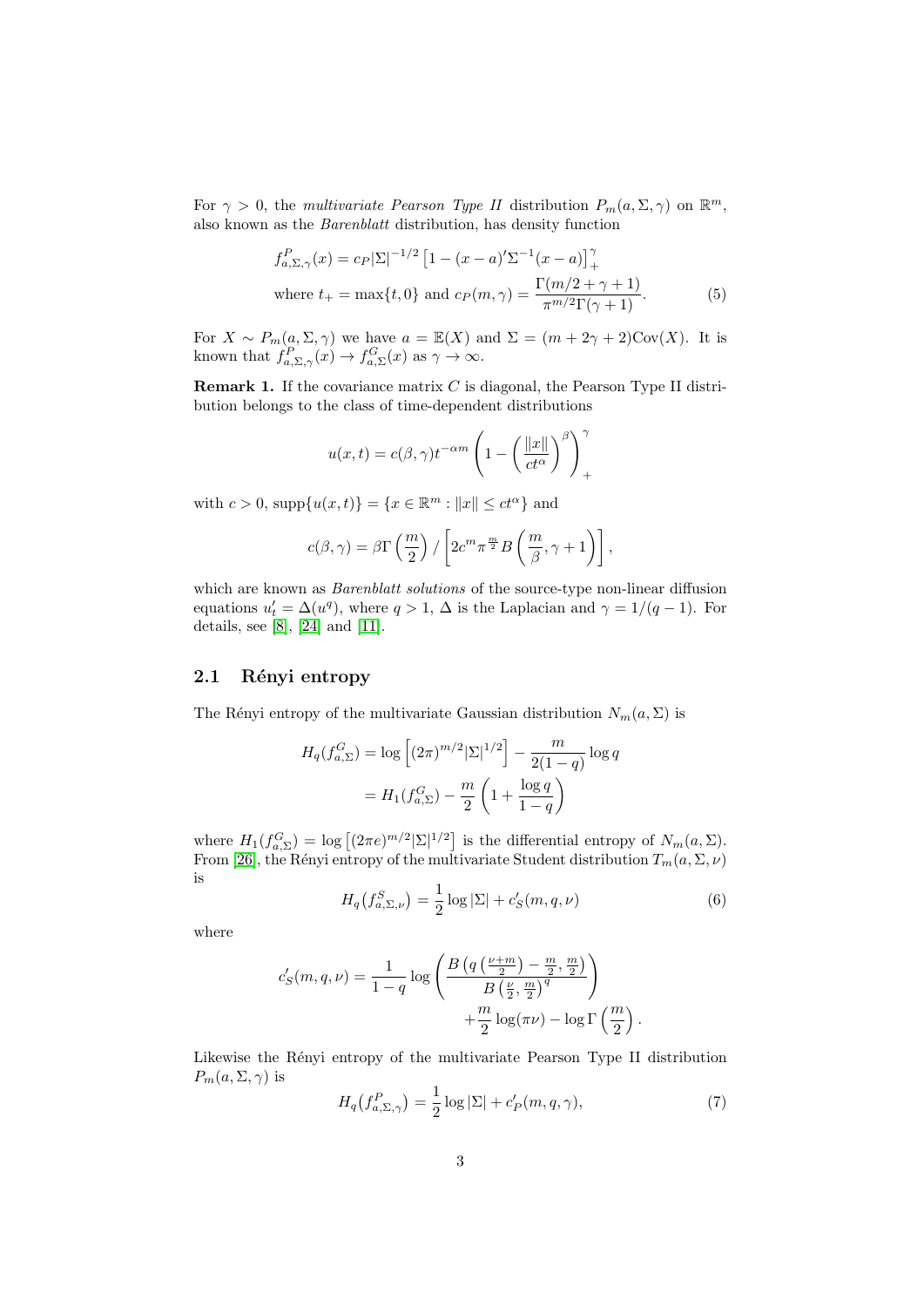For  $\gamma > 0$ , the multivariate Pearson Type II distribution  $P_m(a, \Sigma, \gamma)$  on  $\mathbb{R}^m$ , also known as the Barenblatt distribution, has density function

$$
f_{a,\Sigma,\gamma}^P(x) = c_P |\Sigma|^{-1/2} \left[ 1 - (x - a)'\Sigma^{-1}(x - a) \right]_+^{\gamma}
$$
  
where  $t_+ = \max\{t, 0\}$  and  $c_P(m, \gamma) = \frac{\Gamma(m/2 + \gamma + 1)}{\pi^{m/2} \Gamma(\gamma + 1)}$ . (5)

For  $X \sim P_m(a, \Sigma, \gamma)$  we have  $a = \mathbb{E}(X)$  and  $\Sigma = (m + 2\gamma + 2)Cov(X)$ . It is known that  $f_{a,\Sigma,\gamma}^P(x) \to f_{a,\Sigma}^G(x)$  as  $\gamma \to \infty$ .

**Remark 1.** If the covariance matrix  $C$  is diagonal, the Pearson Type II distribution belongs to the class of time-dependent distributions

$$
u(x,t) = c(\beta, \gamma)t^{-\alpha m} \left(1 - \left(\frac{\|x\|}{ct^{\alpha}}\right)^{\beta}\right)_{+}^{\gamma}
$$

with  $c > 0$ , supp $\{u(x,t)\} = \{x \in \mathbb{R}^m : ||x|| \le ct^{\alpha}\}\$ and

$$
c(\beta,\gamma)=\beta\Gamma\left(\frac{m}{2}\right)/\left[2c^m\pi^{\frac{m}{2}}B\left(\frac{m}{\beta},\gamma+1\right)\right],
$$

which are known as *Barenblatt solutions* of the source-type non-linear diffusion equations  $u'_t = \Delta(u^q)$ , where  $q > 1$ ,  $\Delta$  is the Laplacian and  $\gamma = 1/(q-1)$ . For details, see [\[8\]](#page-12-10), [\[24\]](#page-13-4) and [\[11\]](#page-12-11).

### 2.1 Rényi entropy

The Rényi entropy of the multivariate Gaussian distribution  $N_m(a, \Sigma)$  is

$$
H_q(f_{a,\Sigma}^G) = \log \left[ (2\pi)^{m/2} |\Sigma|^{1/2} \right] - \frac{m}{2(1-q)} \log q
$$
  
=  $H_1(f_{a,\Sigma}^G) - \frac{m}{2} \left( 1 + \frac{\log q}{1-q} \right)$ 

where  $H_1(f_{a,\Sigma}^G) = \log \left[ (2\pi e)^{m/2} |\Sigma|^{1/2} \right]$  is the differential entropy of  $N_m(a,\Sigma)$ . From [\[26\]](#page-13-5), the Rényi entropy of the multivariate Student distribution  $T_m(a, \Sigma, \nu)$ is

<span id="page-2-0"></span>
$$
H_q(f_{a,\Sigma,\nu}^S) = \frac{1}{2}\log|\Sigma| + c'_S(m,q,\nu)
$$
 (6)

where

$$
c'_{S}(m,q,\nu) = \frac{1}{1-q} \log \left( \frac{B\left(q\left(\frac{\nu+m}{2}\right) - \frac{m}{2}, \frac{m}{2}\right)}{B\left(\frac{\nu}{2}, \frac{m}{2}\right)^{q}} \right) + \frac{m}{2} \log(\pi \nu) - \log \Gamma\left(\frac{m}{2}\right).
$$

Likewise the Rényi entropy of the multivariate Pearson Type II distribution  $P_m(a,\Sigma,\gamma)$  is

<span id="page-2-1"></span>
$$
H_q(f_{a,\Sigma,\gamma}^P) = \frac{1}{2}\log|\Sigma| + c_P'(m,q,\gamma),\tag{7}
$$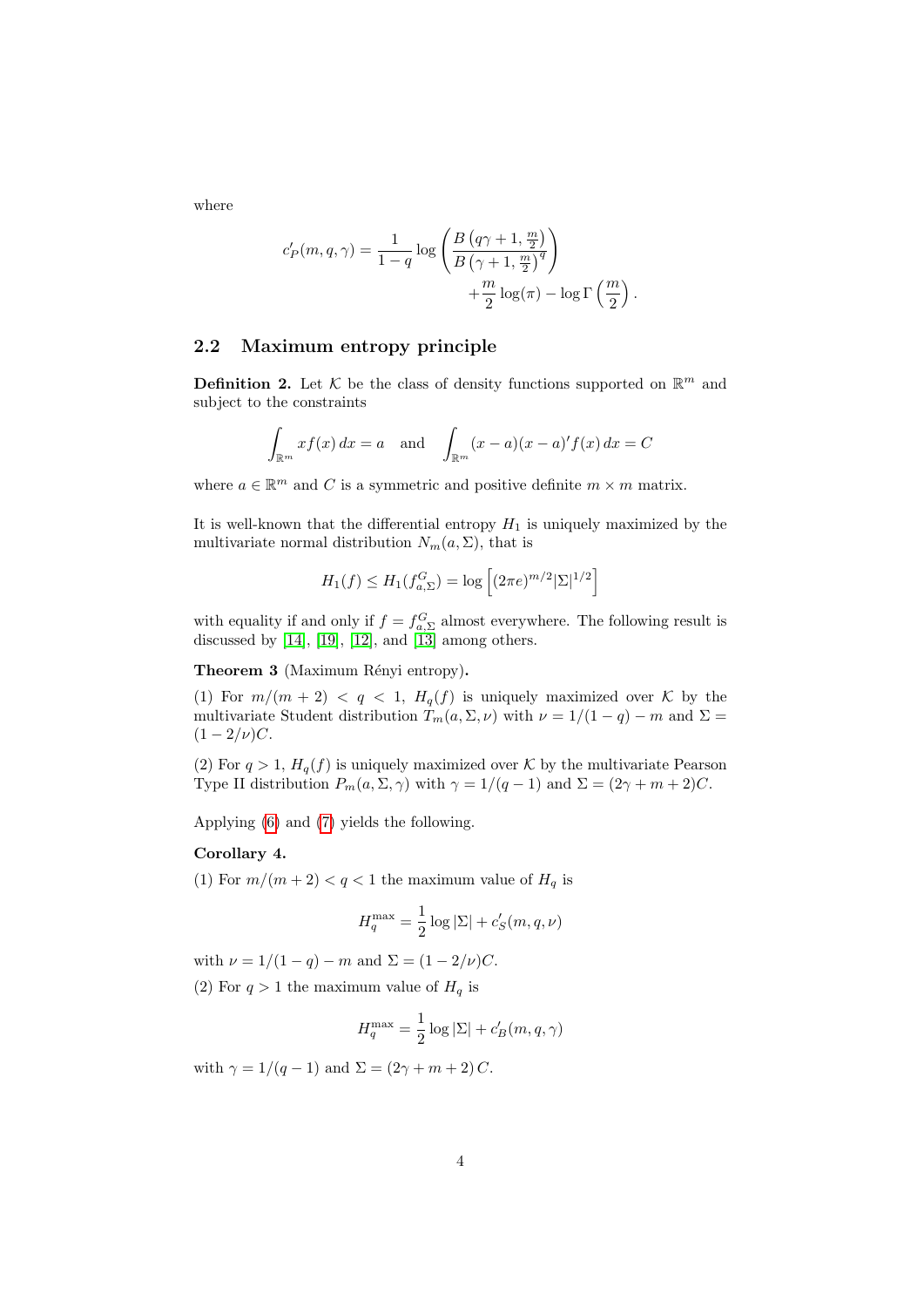where

$$
c'_{P}(m,q,\gamma) = \frac{1}{1-q} \log \left( \frac{B\left(q\gamma+1,\frac{m}{2}\right)}{B\left(\gamma+1,\frac{m}{2}\right)^{q}} \right) + \frac{m}{2} \log(\pi) - \log \Gamma\left(\frac{m}{2}\right).
$$

### 2.2 Maximum entropy principle

**Definition 2.** Let  $\mathcal{K}$  be the class of density functions supported on  $\mathbb{R}^m$  and subject to the constraints

$$
\int_{\mathbb{R}^m} x f(x) dx = a \text{ and } \int_{\mathbb{R}^m} (x - a)(x - a)' f(x) dx = C
$$

where  $a \in \mathbb{R}^m$  and C is a symmetric and positive definite  $m \times m$  matrix.

It is well-known that the differential entropy  $H_1$  is uniquely maximized by the multivariate normal distribution  $N_m(a, \Sigma)$ , that is

$$
H_1(f) \le H_1(f_{a,\Sigma}^G) = \log \left[ (2\pi e)^{m/2} |\Sigma|^{1/2} \right]
$$

with equality if and only if  $f = f_{a,\Sigma}^G$  almost everywhere. The following result is discussed by  $[14]$ ,  $[19]$ ,  $[12]$ , and  $[13]$  among others.

Theorem 3 (Maximum Rényi entropy).

(1) For  $m/(m+2) < q < 1$ ,  $H_q(f)$  is uniquely maximized over K by the multivariate Student distribution  $T_m(a, \Sigma, \nu)$  with  $\nu = 1/(1 - q) - m$  and  $\Sigma =$  $(1 - 2/\nu)C$ .

(2) For  $q > 1$ ,  $H_q(f)$  is uniquely maximized over K by the multivariate Pearson Type II distribution  $P_m(a, \Sigma, \gamma)$  with  $\gamma = 1/(q-1)$  and  $\Sigma = (2\gamma + m + 2)C$ .

Applying [\(6\)](#page-2-0) and [\(7\)](#page-2-1) yields the following.

#### Corollary 4.

(1) For  $m/(m+2) < q < 1$  the maximum value of  $H_q$  is

$$
H_q^{\max} = \frac{1}{2} \log |\Sigma| + c'_S(m, q, \nu)
$$

with  $\nu = 1/(1 - q) - m$  and  $\Sigma = (1 - 2/\nu)C$ .

(2) For  $q > 1$  the maximum value of  $H_q$  is

$$
H_q^{\max} = \frac{1}{2}\log|\Sigma| + c_B'(m, q, \gamma)
$$

with  $\gamma = 1/(q-1)$  and  $\Sigma = (2\gamma + m + 2)C$ .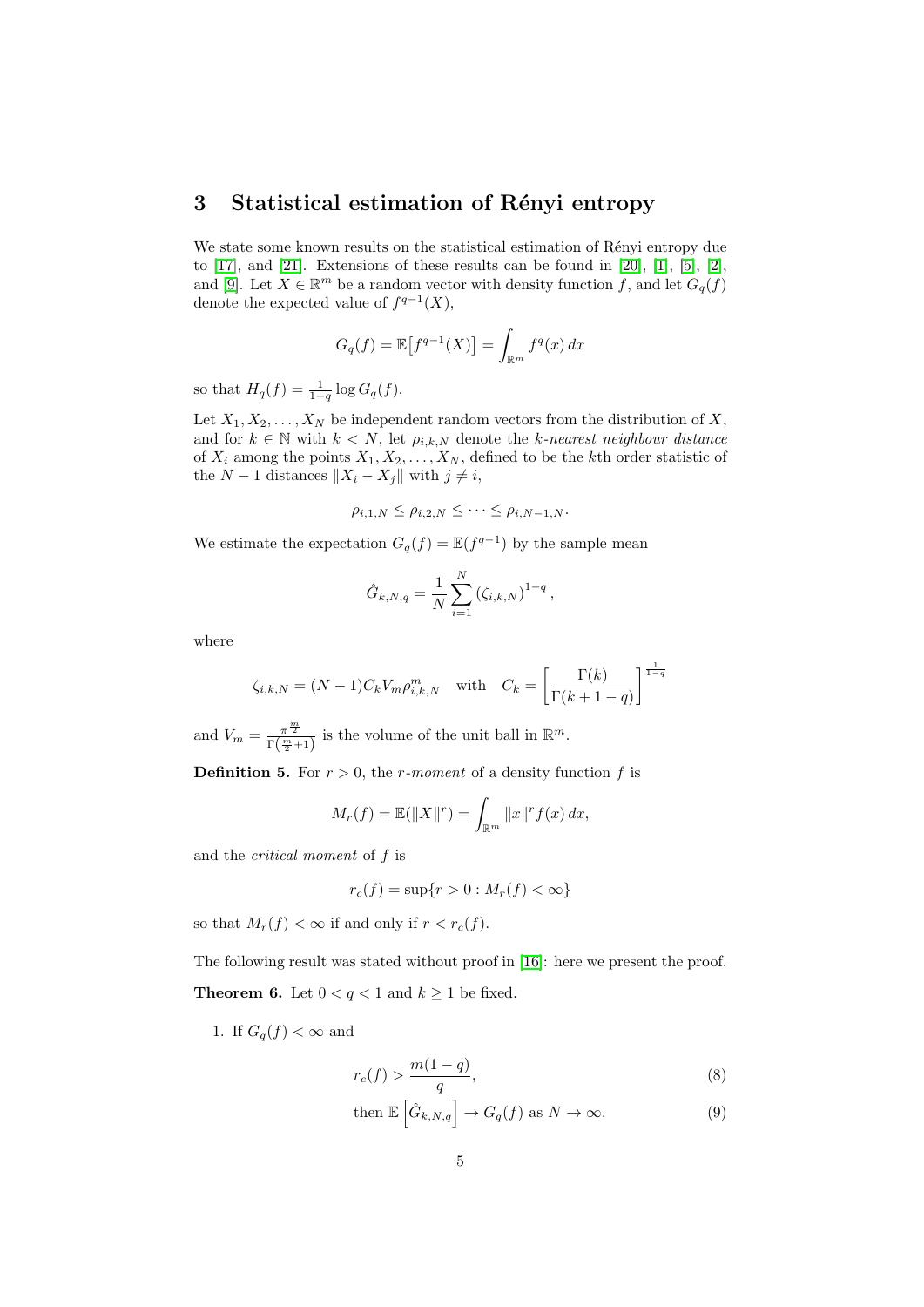# <span id="page-4-0"></span>3 Statistical estimation of Rényi entropy

We state some known results on the statistical estimation of Rényi entropy due to  $[17]$ , and  $[21]$ . Extensions of these results can be found in  $[20]$ ,  $[1]$ ,  $[5]$ ,  $[2]$ , and [\[9\]](#page-12-4). Let  $X \in \mathbb{R}^m$  be a random vector with density function f, and let  $G_q(f)$ denote the expected value of  $f^{q-1}(X)$ ,

$$
G_q(f) = \mathbb{E}\left[f^{q-1}(X)\right] = \int_{\mathbb{R}^m} f^q(x) \, dx
$$

so that  $H_q(f) = \frac{1}{1-q} \log G_q(f)$ .

Let  $X_1, X_2, \ldots, X_N$  be independent random vectors from the distribution of X, and for  $k \in \mathbb{N}$  with  $k < N$ , let  $\rho_{i,k,N}$  denote the k-nearest neighbour distance of  $X_i$  among the points  $X_1, X_2, \ldots, X_N$ , defined to be the kth order statistic of the  $N-1$  distances  $||X_i - X_j||$  with  $j \neq i$ ,

$$
\rho_{i,1,N} \leq \rho_{i,2,N} \leq \cdots \leq \rho_{i,N-1,N}.
$$

We estimate the expectation  $G_q(f) = \mathbb{E}(f^{q-1})$  by the sample mean

$$
\hat{G}_{k,N,q} = \frac{1}{N} \sum_{i=1}^{N} (\zeta_{i,k,N})^{1-q},
$$

where

$$
\zeta_{i,k,N} = (N-1)C_k V_m \rho_{i,k,N}^m \quad \text{with} \quad C_k = \left[\frac{\Gamma(k)}{\Gamma(k+1-q)}\right]^{\frac{1}{1-q}}
$$

and  $V_m = \frac{\pi^{\frac{m}{2}}}{\Gamma(m)}$  $\frac{\pi^{\frac{m}{2}}}{\Gamma(\frac{m}{2}+1)}$  is the volume of the unit ball in  $\mathbb{R}^m$ . **Definition 5.** For  $r > 0$ , the *r*-moment of a density function f is

$$
M_r(f) = \mathbb{E}(\|X\|^r) = \int_{\mathbb{R}^m} \|x\|^r f(x) \, dx,
$$

and the critical moment of f is

$$
r_c(f) = \sup\{r > 0 : M_r(f) < \infty\}
$$

so that  $M_r(f) < \infty$  if and only if  $r < r_c(f)$ .

<span id="page-4-2"></span>The following result was stated without proof in [\[16\]](#page-13-1): here we present the proof. **Theorem 6.** Let  $0 < q < 1$  and  $k \ge 1$  be fixed.

1. If  $G_q(f) < \infty$  and

<span id="page-4-1"></span>
$$
r_c(f) > \frac{m(1-q)}{q},\tag{8}
$$

then 
$$
\mathbb{E}\left[\hat{G}_{k,N,q}\right] \to G_q(f)
$$
 as  $N \to \infty$ . (9)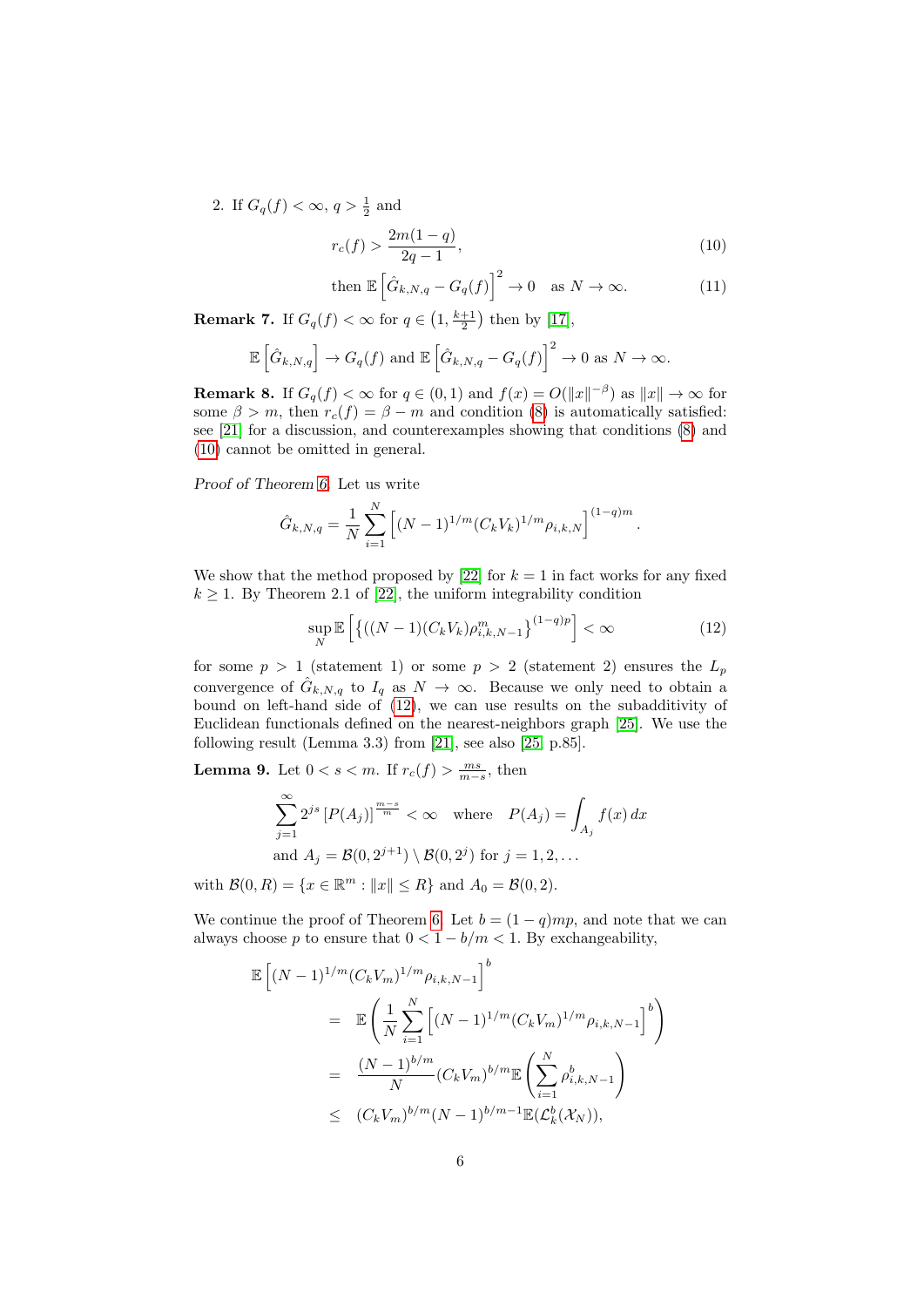2. If  $G_q(f) < \infty, q > \frac{1}{2}$  and

$$
r_c(f) > \frac{2m(1-q)}{2q-1},\tag{10}
$$

<span id="page-5-0"></span>then 
$$
\mathbb{E}\left[\hat{G}_{k,N,q} - G_q(f)\right]^2 \to 0
$$
 as  $N \to \infty$ . (11)

**Remark 7.** If  $G_q(f) < \infty$  for  $q \in \left(1, \frac{k+1}{2}\right)$  then by [\[17\]](#page-13-0),

$$
\mathbb{E}\left[\hat{G}_{k,N,q}\right] \to G_q(f) \text{ and } \mathbb{E}\left[\hat{G}_{k,N,q} - G_q(f)\right]^2 \to 0 \text{ as } N \to \infty.
$$

**Remark 8.** If  $G_q(f) < \infty$  for  $q \in (0,1)$  and  $f(x) = O(||x||^{-\beta})$  as  $||x|| \to \infty$  for some  $\beta > m$ , then  $r_c(f) = \beta - m$  and condition [\(8\)](#page-4-1) is automatically satisfied: see [\[21\]](#page-13-2) for a discussion, and counterexamples showing that conditions [\(8\)](#page-4-1) and [\(10\)](#page-5-0) cannot be omitted in general.

Proof of Theorem [6.](#page-4-2) Let us write

$$
\hat{G}_{k,N,q} = \frac{1}{N} \sum_{i=1}^{N} \left[ (N-1)^{1/m} (C_k V_k)^{1/m} \rho_{i,k,N} \right]^{(1-q)m}.
$$

We show that the method proposed by [\[22\]](#page-13-8) for  $k = 1$  in fact works for any fixed  $k \geq 1$ . By Theorem 2.1 of [\[22\]](#page-13-8), the uniform integrability condition

<span id="page-5-1"></span>
$$
\sup_{N} \mathbb{E}\left[\left\{((N-1)(C_k V_k)\rho_{i,k,N-1}^m\right\}^{(1-q)p}\right] < \infty \tag{12}
$$

for some  $p > 1$  (statement 1) or some  $p > 2$  (statement 2) ensures the  $L_p$ convergence of  $\hat{G}_{k,N,q}$  to  $I_q$  as  $N \to \infty$ . Because we only need to obtain a bound on left-hand side of [\(12\)](#page-5-1), we can use results on the subadditivity of Euclidean functionals defined on the nearest-neighbors graph [\[25\]](#page-13-9). We use the following result (Lemma 3.3) from [\[21\]](#page-13-2), see also [\[25,](#page-13-9) p.85].

<span id="page-5-3"></span>**Lemma 9.** Let  $0 < s < m$ . If  $r_c(f) > \frac{ms}{m-s}$ , then

$$
\sum_{j=1}^{\infty} 2^{js} \left[ P(A_j) \right]^{\frac{m-s}{m}} < \infty \quad \text{where} \quad P(A_j) = \int_{A_j} f(x) \, dx
$$
\n
$$
\text{and } A_j = \mathcal{B}(0, 2^{j+1}) \setminus \mathcal{B}(0, 2^j) \text{ for } j = 1, 2, \dots
$$

with  $\mathcal{B}(0, R) = \{x \in \mathbb{R}^m : ||x|| \le R\}$  and  $A_0 = \mathcal{B}(0, 2)$ .

We continue the proof of Theorem [6.](#page-4-2) Let  $b = (1 - q)mp$ , and note that we can always choose p to ensure that  $0 < 1 - b/m < 1$ . By exchangeability,

<span id="page-5-2"></span>
$$
\mathbb{E}\left[(N-1)^{1/m}(C_k V_m)^{1/m}\rho_{i,k,N-1}\right]^b
$$
\n
$$
= \mathbb{E}\left(\frac{1}{N}\sum_{i=1}^N \left[(N-1)^{1/m}(C_k V_m)^{1/m}\rho_{i,k,N-1}\right]^b\right)
$$
\n
$$
= \frac{(N-1)^{b/m}}{N}(C_k V_m)^{b/m} \mathbb{E}\left(\sum_{i=1}^N \rho_{i,k,N-1}^b\right)
$$
\n
$$
\leq (C_k V_m)^{b/m}(N-1)^{b/m-1} \mathbb{E}(L_k^b(\mathcal{X}_N)),
$$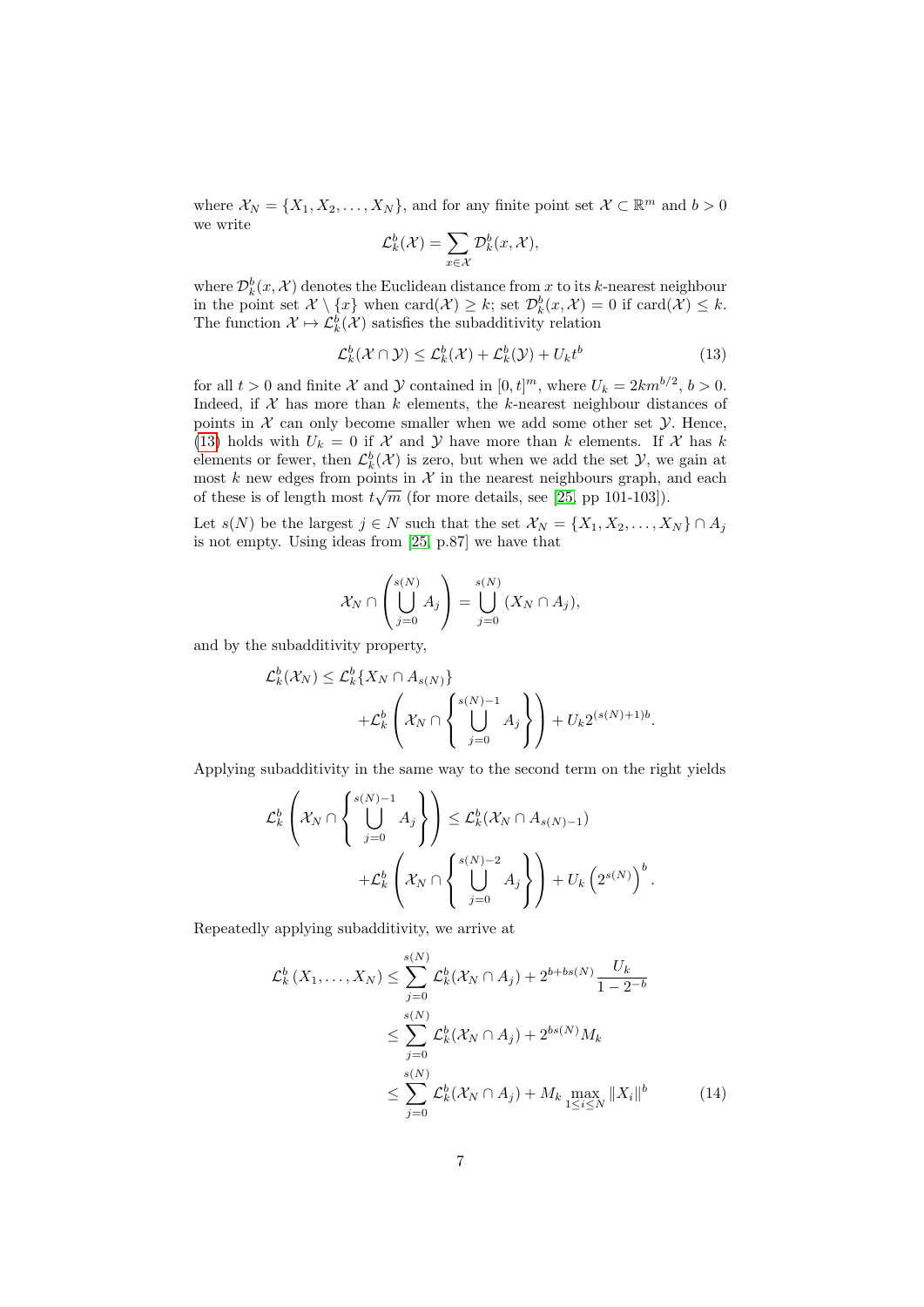where  $X_N = \{X_1, X_2, \ldots, X_N\}$ , and for any finite point set  $\mathcal{X} \subset \mathbb{R}^m$  and  $b > 0$ we write

$$
\mathcal{L}_k^b(\mathcal{X}) = \sum_{x \in \mathcal{X}} \mathcal{D}_k^b(x, \mathcal{X}),
$$

where  $\mathcal{D}_k^b(x, \mathcal{X})$  denotes the Euclidean distance from x to its k-nearest neighbour in the point set  $\mathcal{X} \setminus \{x\}$  when  $\text{card}(\mathcal{X}) \geq k$ ; set  $\mathcal{D}_k^b(x, \mathcal{X}) = 0$  if  $\text{card}(\mathcal{X}) \leq k$ . The function  $\mathcal{X} \mapsto \mathcal{L}_k^b(\mathcal{X})$  satisfies the subadditivity relation

$$
\mathcal{L}_k^b(\mathcal{X} \cap \mathcal{Y}) \le \mathcal{L}_k^b(\mathcal{X}) + \mathcal{L}_k^b(\mathcal{Y}) + U_k t^b \tag{13}
$$

for all  $t > 0$  and finite X and Y contained in  $[0, t]^m$ , where  $U_k = 2km^{b/2}$ ,  $b > 0$ . Indeed, if  $X$  has more than  $k$  elements, the  $k$ -nearest neighbour distances of points in  $X$  can only become smaller when we add some other set  $Y$ . Hence, [\(13\)](#page-5-2) holds with  $U_k = 0$  if X and Y have more than k elements. If X has k elements or fewer, then  $\mathcal{L}_{k}^{b}(\mathcal{X})$  is zero, but when we add the set  $\mathcal{Y}$ , we gain at most k new edges from points in  $\mathcal{X}$  in the nearest neighbours graph, and each of these is of length most  $t\sqrt{m}$  (for more details, see [\[25,](#page-13-9) pp 101-103]).

Let  $s(N)$  be the largest  $j \in N$  such that the set  $\mathcal{X}_N = \{X_1, X_2, \ldots, X_N\} \cap A_j$ is not empty. Using ideas from [\[25,](#page-13-9) p.87] we have that

$$
\mathcal{X}_N \cap \left( \bigcup_{j=0}^{s(N)} A_j \right) = \bigcup_{j=0}^{s(N)} (X_N \cap A_j),
$$

and by the subadditivity property,

$$
\mathcal{L}_k^b(\mathcal{X}_N) \leq \mathcal{L}_k^b\{X_N \cap A_{s(N)}\}\n+ \mathcal{L}_k^b\left(\mathcal{X}_N \cap \left\{\bigcup_{j=0}^{s(N)-1} A_j\right\}\right) + U_k 2^{(s(N)+1)b}.
$$

Applying subadditivity in the same way to the second term on the right yields

$$
\mathcal{L}_{k}^{b}\left(\mathcal{X}_{N}\cap\left\{\bigcup_{j=0}^{s(N)-1}A_{j}\right\}\right) \leq \mathcal{L}_{k}^{b}(\mathcal{X}_{N}\cap A_{s(N)-1}) + \mathcal{L}_{k}^{b}\left(\mathcal{X}_{N}\cap\left\{\bigcup_{j=0}^{s(N)-2}A_{j}\right\}\right) + U_{k}\left(2^{s(N)}\right)^{b}
$$

Repeatedly applying subadditivity, we arrive at

$$
\mathcal{L}_{k}^{b}(X_{1},...,X_{N}) \leq \sum_{j=0}^{s(N)} \mathcal{L}_{k}^{b}(\mathcal{X}_{N} \cap A_{j}) + 2^{b+bs(N)} \frac{U_{k}}{1 - 2^{-b}}
$$
  

$$
\leq \sum_{j=0}^{s(N)} \mathcal{L}_{k}^{b}(\mathcal{X}_{N} \cap A_{j}) + 2^{bs(N)} M_{k}
$$
  

$$
\leq \sum_{j=0}^{s(N)} \mathcal{L}_{k}^{b}(\mathcal{X}_{N} \cap A_{j}) + M_{k} \max_{1 \leq i \leq N} ||X_{i}||^{b}
$$
(14)

<span id="page-6-0"></span>.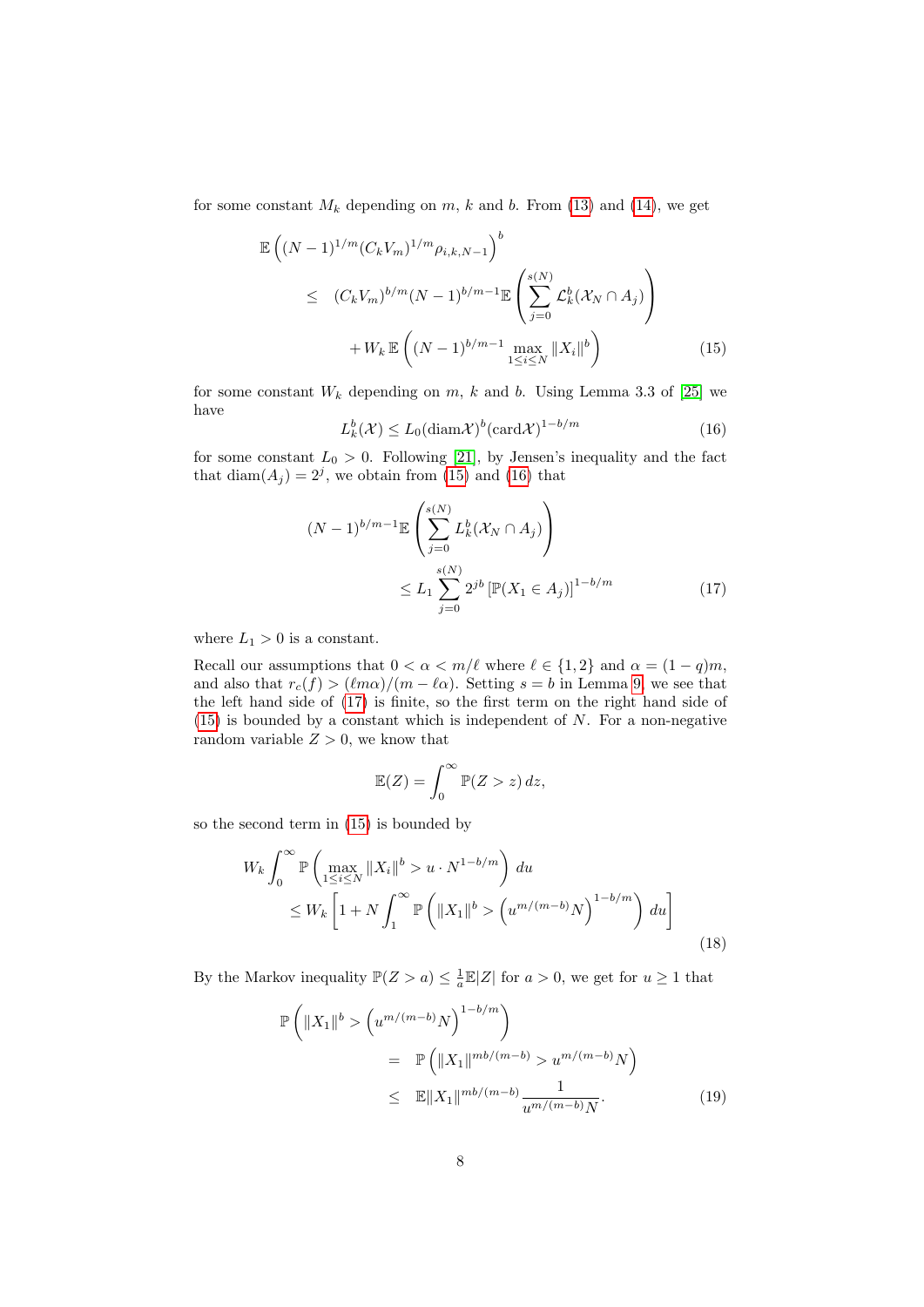for some constant  $M_k$  depending on  $m$ ,  $k$  and  $b$ . From [\(13\)](#page-5-2) and [\(14\)](#page-6-0), we get

<span id="page-7-0"></span>
$$
\mathbb{E}\left((N-1)^{1/m}(C_k V_m)^{1/m}\rho_{i,k,N-1}\right)^b\n\leq (C_k V_m)^{b/m}(N-1)^{b/m-1}\mathbb{E}\left(\sum_{j=0}^{s(N)} \mathcal{L}_k^b(\mathcal{X}_N \cap A_j)\right)\n+ W_k \mathbb{E}\left((N-1)^{b/m-1}\max_{1 \leq i \leq N} ||X_i||^b\right)
$$
\n(15)

for some constant  $W_k$  depending on  $m, k$  and b. Using Lemma 3.3 of [\[25\]](#page-13-9) we have

<span id="page-7-1"></span>
$$
L_k^b(\mathcal{X}) \le L_0(\text{diam}\mathcal{X})^b(\text{card}\mathcal{X})^{1-b/m}
$$
\n(16)

for some constant  $L_0 > 0$ . Following [\[21\]](#page-13-2), by Jensen's inequality and the fact that  $\text{diam}(A_j) = 2^j$ , we obtain from [\(15\)](#page-7-0) and [\(16\)](#page-7-1) that

<span id="page-7-2"></span>
$$
(N-1)^{b/m-1} \mathbb{E}\left(\sum_{j=0}^{s(N)} L_k^b(\mathcal{X}_N \cap A_j)\right)
$$
  
 
$$
\leq L_1 \sum_{j=0}^{s(N)} 2^{jb} \left[\mathbb{P}(X_1 \in A_j)\right]^{1-b/m}
$$
 (17)

where  $L_1 > 0$  is a constant.

Recall our assumptions that  $0 < \alpha < m/\ell$  where  $\ell \in \{1, 2\}$  and  $\alpha = (1 - q)m$ , and also that  $r_c(f) > (\ell m \alpha)/(m - \ell \alpha)$ . Setting  $s = b$  in Lemma [9,](#page-5-3) we see that the left hand side of [\(17\)](#page-7-2) is finite, so the first term on the right hand side of  $(15)$  is bounded by a constant which is independent of N. For a non-negative random variable  $Z > 0$ , we know that

$$
\mathbb{E}(Z) = \int_0^\infty \mathbb{P}(Z > z) \, dz,
$$

so the second term in [\(15\)](#page-7-0) is bounded by

<span id="page-7-3"></span>
$$
W_k \int_0^\infty \mathbb{P}\left(\max_{1 \le i \le N} \|X_i\|^b > u \cdot N^{1-b/m}\right) du
$$
  
\n
$$
\le W_k \left[1 + N \int_1^\infty \mathbb{P}\left(\|X_1\|^b > \left(u^{m/(m-b)}N\right)^{1-b/m}\right) du\right]
$$
\n(18)

By the Markov inequality  $\mathbb{P}(Z > a) \leq \frac{1}{a}\mathbb{E}|Z|$  for  $a > 0$ , we get for  $u \geq 1$  that

<span id="page-7-4"></span>
$$
\mathbb{P}\left(\|X_1\|^b > \left(u^{m/(m-b)}N\right)^{1-b/m}\right)
$$
  
= 
$$
\mathbb{P}\left(\|X_1\|^{mb/(m-b)} > u^{m/(m-b)}N\right)
$$
  

$$
\leq \mathbb{E}\|X_1\|^{mb/(m-b)} \frac{1}{u^{m/(m-b)}N}.
$$
 (19)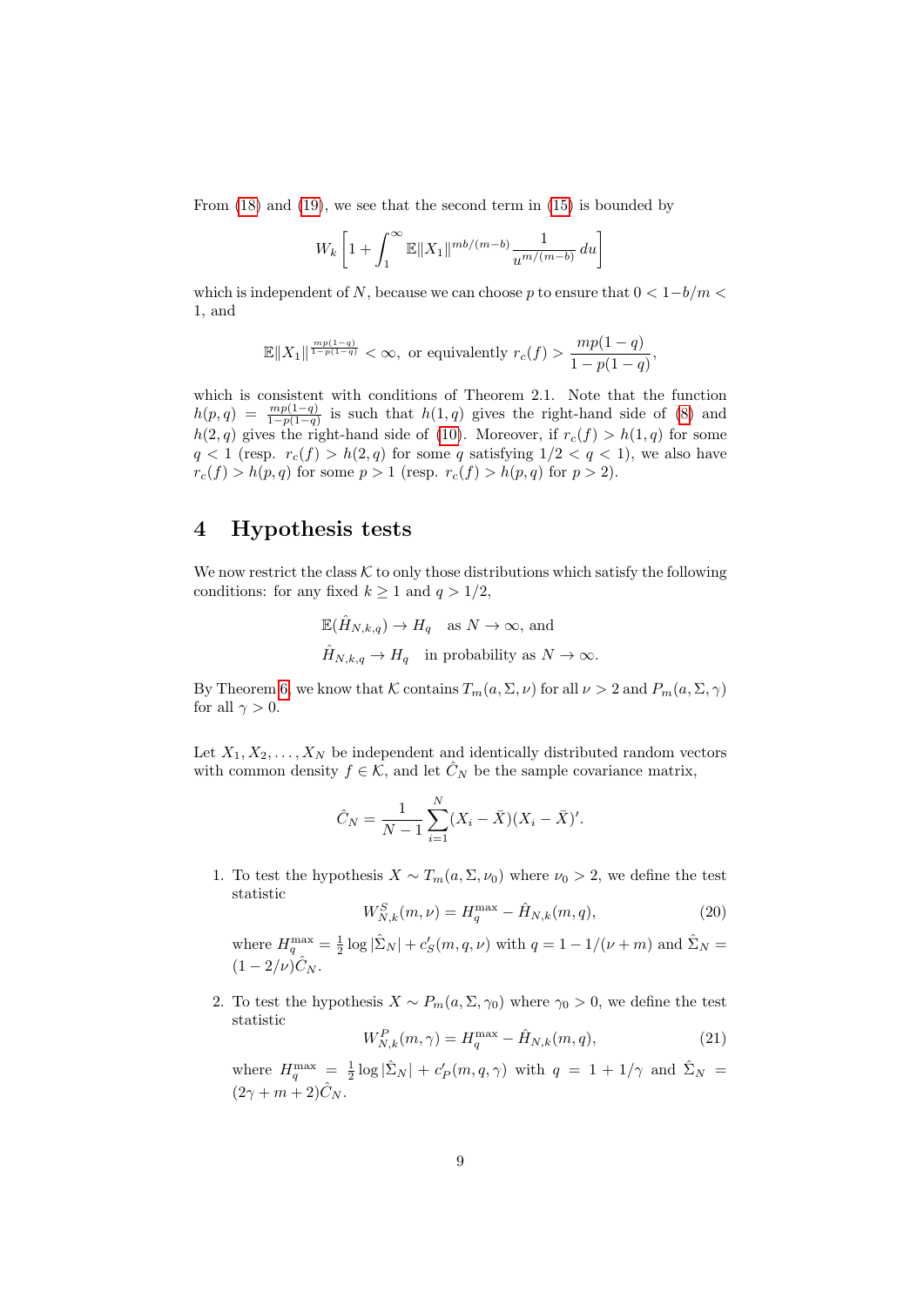From [\(18\)](#page-7-3) and [\(19\)](#page-7-4), we see that the second term in [\(15\)](#page-7-0) is bounded by

$$
W_k\left[1+\int_1^\infty \mathbb{E}\|X_1\|^{mb/(m-b)}\frac{1}{u^{m/(m-b)}}\,du\right]
$$

which is independent of N, because we can choose p to ensure that  $0 < 1-b/m <$ 1, and

$$
\mathbb{E}\|X_1\|^{\frac{mp(1-q)}{1-p(1-q)}} < \infty, \text{ or equivalently } r_c(f) > \frac{mp(1-q)}{1-p(1-q)},
$$

which is consistent with conditions of Theorem 2.1. Note that the function  $h(p,q) = \frac{mp(1-q)}{1-p(1-q)}$  is such that  $h(1,q)$  gives the right-hand side of [\(8\)](#page-4-1) and  $h(2, q)$  gives the right-hand side of [\(10\)](#page-5-0). Moreover, if  $r_c(f) > h(1, q)$  for some  $q < 1$  (resp.  $r_c(f) > h(2, q)$  for some q satisfying  $1/2 < q < 1$ ), we also have  $r_c(f) > h(p, q)$  for some  $p > 1$  (resp.  $r_c(f) > h(p, q)$  for  $p > 2$ ).

### <span id="page-8-0"></span>4 Hypothesis tests

We now restrict the class  $K$  to only those distributions which satisfy the following conditions: for any fixed  $k \ge 1$  and  $q > 1/2$ ,

$$
\mathbb{E}(\hat{H}_{N,k,q}) \to H_q \text{ as } N \to \infty, \text{ and}
$$
  

$$
\hat{H}_{N,k,q} \to H_q \text{ in probability as } N \to \infty.
$$

By Theorem [6,](#page-4-2) we know that K contains  $T_m(a, \Sigma, \nu)$  for all  $\nu > 2$  and  $P_m(a, \Sigma, \gamma)$ for all  $\gamma > 0$ .

Let  $X_1, X_2, \ldots, X_N$  be independent and identically distributed random vectors with common density  $f \in \mathcal{K}$ , and let  $\hat{C}_N$  be the sample covariance matrix,

$$
\hat{C}_N = \frac{1}{N-1} \sum_{i=1}^N (X_i - \bar{X})(X_i - \bar{X})'.
$$

1. To test the hypothesis  $X \sim T_m(a, \Sigma, \nu_0)$  where  $\nu_0 > 2$ , we define the test statistic

$$
W_{N,k}^{S}(m,\nu) = H_q^{\max} - \hat{H}_{N,k}(m,q),
$$
\n(20)

where  $H_q^{\max} = \frac{1}{2} \log |\hat{\Sigma}_N| + c_S'(m, q, \nu)$  with  $q = 1 - 1/(\nu + m)$  and  $\hat{\Sigma}_N =$  $(1 - 2/\nu)\hat{C}_N$ .

2. To test the hypothesis  $X \sim P_m(a, \Sigma, \gamma_0)$  where  $\gamma_0 > 0$ , we define the test statistic

$$
W_{N,k}^{P}(m,\gamma) = H_q^{\max} - \hat{H}_{N,k}(m,q),
$$
\n(21)

where  $H_q^{\max} = \frac{1}{2} \log |\hat{\Sigma}_N| + c'_P(m, q, \gamma)$  with  $q = 1 + 1/\gamma$  and  $\hat{\Sigma}_N =$  $(2\gamma + m + 2)\hat{C}_N$ .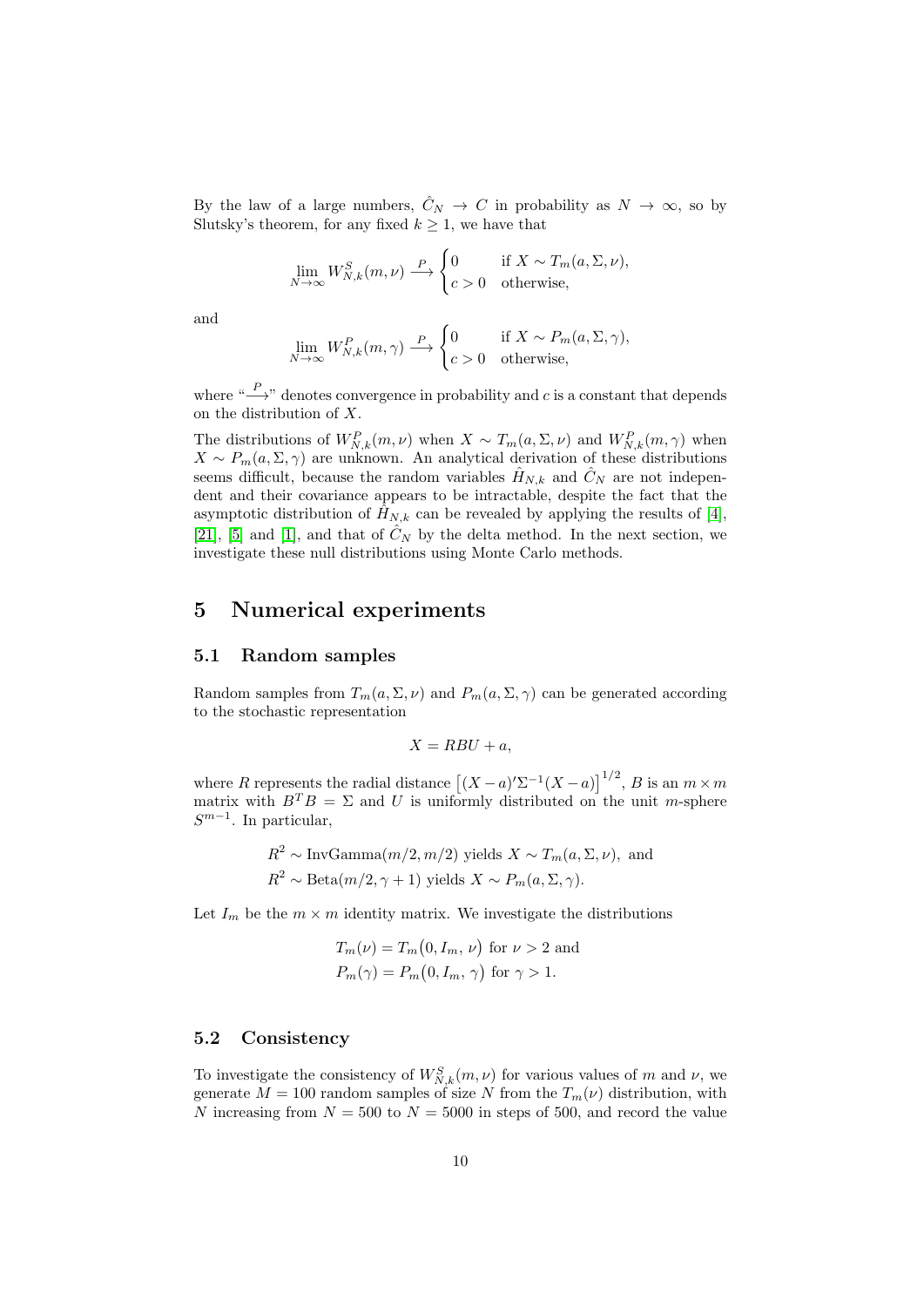By the law of a large numbers,  $\hat{C}_N \to C$  in probability as  $N \to \infty$ , so by Slutsky's theorem, for any fixed  $k \geq 1$ , we have that

$$
\lim_{N \to \infty} W_{N,k}^S(m, \nu) \xrightarrow{P} \begin{cases} 0 & \text{if } X \sim T_m(a, \Sigma, \nu), \\ c > 0 & \text{otherwise}, \end{cases}
$$

and

$$
\lim_{N \to \infty} W_{N,k}^P(m, \gamma) \stackrel{P}{\longrightarrow} \begin{cases} 0 & \text{if } X \sim P_m(a, \Sigma, \gamma), \\ c > 0 & \text{otherwise,} \end{cases}
$$

where " $\stackrel{P}{\longrightarrow}$ " denotes convergence in probability and c is a constant that depends on the distribution of X.

The distributions of  $W_{N,k}^P(m,\nu)$  when  $X \sim T_m(a,\Sigma,\nu)$  and  $W_{N,k}^P(m,\gamma)$  when  $X \sim P_m(a, \Sigma, \gamma)$  are unknown. An analytical derivation of these distributions seems difficult, because the random variables  $\hat{H}_{N,k}$  and  $\hat{C}_N$  are not independent and their covariance appears to be intractable, despite the fact that the asymptotic distribution of  $\hat{H}_{N,k}$  can be revealed by applying the results of [\[4\]](#page-12-14), [\[21\]](#page-13-2), [\[5\]](#page-12-3) and [\[1\]](#page-12-6), and that of  $\hat{C}_N$  by the delta method. In the next section, we investigate these null distributions using Monte Carlo methods.

## <span id="page-9-0"></span>5 Numerical experiments

### 5.1 Random samples

Random samples from  $T_m(a,\Sigma,\nu)$  and  $P_m(a,\Sigma,\gamma)$  can be generated according to the stochastic representation

$$
X = RBU + a,
$$

where R represents the radial distance  $[(X-a)'\Sigma^{-1}(X-a)]^{1/2}$ , B is an  $m \times m$ matrix with  $B^T B = \Sigma$  and U is uniformly distributed on the unit m-sphere  $S^{m-1}$ . In particular,

$$
R^2 \sim \text{InvGamma}(m/2, m/2)
$$
 yields  $X \sim T_m(a, \Sigma, \nu)$ , and  
 $R^2 \sim \text{Beta}(m/2, \gamma + 1)$  yields  $X \sim P_m(a, \Sigma, \gamma)$ .

Let  $I_m$  be the  $m \times m$  identity matrix. We investigate the distributions

$$
T_m(\nu) = T_m(0, I_m, \nu) \text{ for } \nu > 2 \text{ and}
$$
  

$$
P_m(\gamma) = P_m(0, I_m, \gamma) \text{ for } \gamma > 1.
$$

### 5.2 Consistency

To investigate the consistency of  $W_{N,k}^S(m,\nu)$  for various values of m and  $\nu$ , we generate  $M = 100$  random samples of size N from the  $T_m(\nu)$  distribution, with N increasing from  $N = 500$  to  $N = 5000$  in steps of 500, and record the value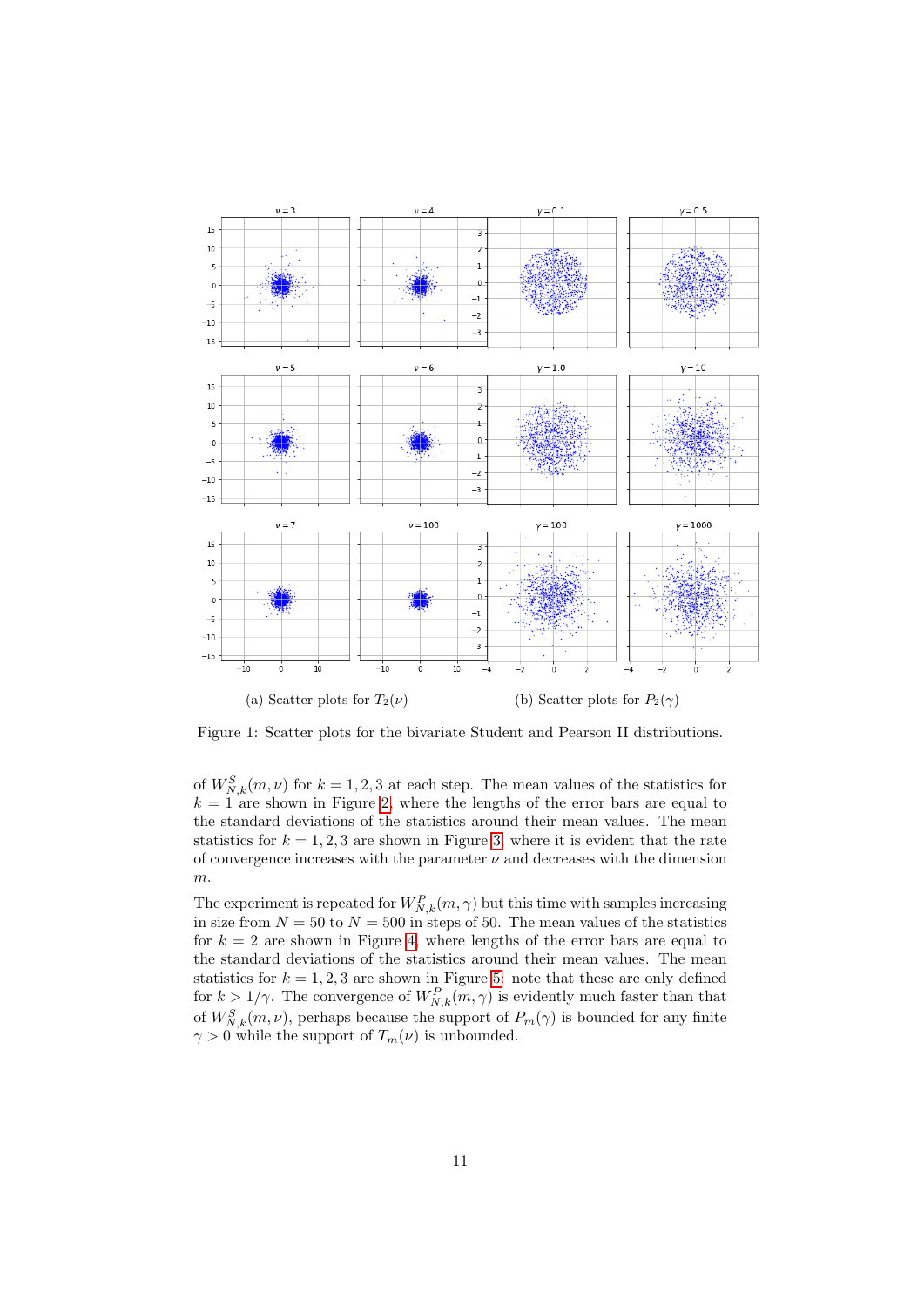

Figure 1: Scatter plots for the bivariate Student and Pearson II distributions.

of  $W_{N,k}^S(m,\nu)$  for  $k = 1,2,3$  at each step. The mean values of the statistics for  $k = 1$  are shown in Figure [2,](#page-14-0) where the lengths of the error bars are equal to the standard deviations of the statistics around their mean values. The mean statistics for  $k = 1, 2, 3$  are shown in Figure [3,](#page-15-0) where it is evident that the rate of convergence increases with the parameter  $\nu$  and decreases with the dimension m.

The experiment is repeated for  $W_{N,k}^P(m, \gamma)$  but this time with samples increasing in size from  $N = 50$  to  $N = 500$  in steps of 50. The mean values of the statistics for  $k = 2$  are shown in Figure [4,](#page-16-0) where lengths of the error bars are equal to the standard deviations of the statistics around their mean values. The mean statistics for  $k = 1, 2, 3$  are shown in Figure [5:](#page-17-0) note that these are only defined for  $k > 1/\gamma$ . The convergence of  $W_{N,k}^P(m, \gamma)$  is evidently much faster than that of  $W_{N,k}^S(m,\nu)$ , perhaps because the support of  $P_m(\gamma)$  is bounded for any finite  $\gamma > 0$  while the support of  $T_m(\nu)$  is unbounded.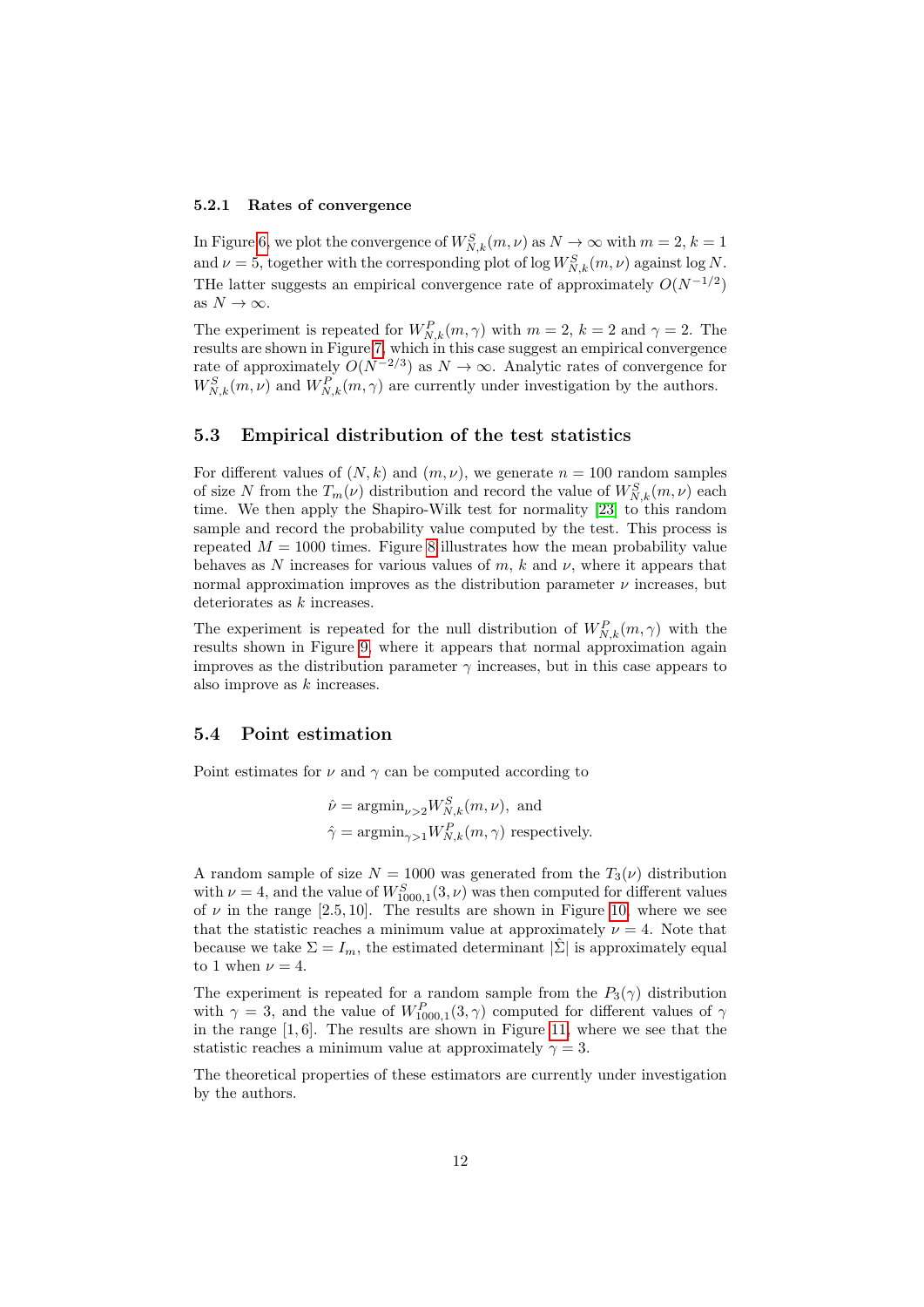#### 5.2.1 Rates of convergence

In Figure [6,](#page-18-0) we plot the convergence of  $W_{N,k}^S(m,\nu)$  as  $N \to \infty$  with  $m = 2, k = 1$ and  $\nu = 5$ , together with the corresponding plot of log  $W_{N,k}^S(m, \nu)$  against log N. THe latter suggests an empirical convergence rate of approximately  $O(N^{-1/2})$ as  $N \to \infty$ .

The experiment is repeated for  $W_{N,k}^P(m, \gamma)$  with  $m = 2, k = 2$  and  $\gamma = 2$ . The results are shown in Figure [7,](#page-18-1) which in this case suggest an empirical convergence rate of approximately  $O(N^{-2/3})$  as  $N \to \infty$ . Analytic rates of convergence for  $W_{N,k}^S(m,\nu)$  and  $W_{N,k}^P(m,\gamma)$  are currently under investigation by the authors.

#### 5.3 Empirical distribution of the test statistics

For different values of  $(N, k)$  and  $(m, \nu)$ , we generate  $n = 100$  random samples of size N from the  $T_m(\nu)$  distribution and record the value of  $W^S_{N,k}(m,\nu)$  each time. We then apply the Shapiro-Wilk test for normality [\[23\]](#page-13-10) to this random sample and record the probability value computed by the test. This process is repeated  $M = 1000$  times. Figure [8](#page-19-0) illustrates how the mean probability value behaves as N increases for various values of m, k and  $\nu$ , where it appears that normal approximation improves as the distribution parameter  $\nu$  increases, but deteriorates as  $k$  increases.

The experiment is repeated for the null distribution of  $W_{N,k}^P(m,\gamma)$  with the results shown in Figure [9,](#page-20-0) where it appears that normal approximation again improves as the distribution parameter  $\gamma$  increases, but in this case appears to also improve as  $k$  increases.

#### 5.4 Point estimation

Point estimates for  $\nu$  and  $\gamma$  can be computed according to

$$
\hat{\nu} = \operatorname{argmin}_{\nu > 2} W_{N,k}^S(m, \nu), \text{ and}
$$
  

$$
\hat{\gamma} = \operatorname{argmin}_{\gamma > 1} W_{N,k}^P(m, \gamma) \text{ respectively.}
$$

A random sample of size  $N = 1000$  was generated from the  $T_3(\nu)$  distribution with  $\nu = 4$ , and the value of  $W_{1000,1}^{S}(3,\nu)$  was then computed for different values of  $\nu$  in the range [2.5, 10]. The results are shown in Figure [10,](#page-21-0) where we see that the statistic reaches a minimum value at approximately  $\nu = 4$ . Note that because we take  $\Sigma = I_m$ , the estimated determinant  $|\hat{\Sigma}|$  is approximately equal to 1 when  $\nu = 4$ .

The experiment is repeated for a random sample from the  $P_3(\gamma)$  distribution with  $\gamma = 3$ , and the value of  $W_{1000,1}^P(3,\gamma)$  computed for different values of  $\gamma$ in the range  $[1, 6]$ . The results are shown in Figure [11,](#page-21-1) where we see that the statistic reaches a minimum value at approximately  $\gamma = 3$ .

The theoretical properties of these estimators are currently under investigation by the authors.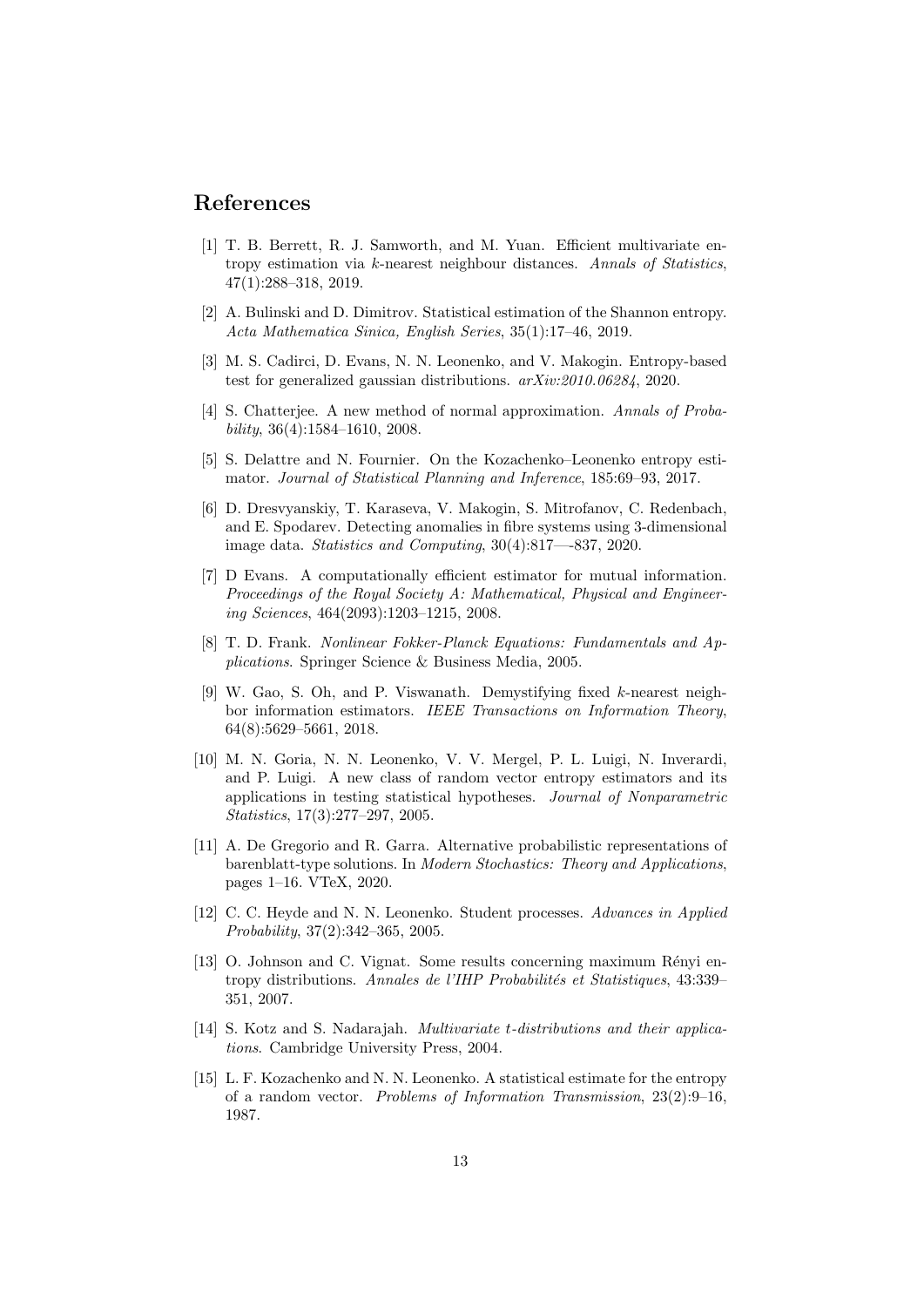### References

- <span id="page-12-6"></span>[1] T. B. Berrett, R. J. Samworth, and M. Yuan. Efficient multivariate entropy estimation via k-nearest neighbour distances. Annals of Statistics, 47(1):288–318, 2019.
- <span id="page-12-5"></span>[2] A. Bulinski and D. Dimitrov. Statistical estimation of the Shannon entropy. Acta Mathematica Sinica, English Series, 35(1):17–46, 2019.
- <span id="page-12-7"></span>[3] M. S. Cadirci, D. Evans, N. N. Leonenko, and V. Makogin. Entropy-based test for generalized gaussian distributions. arXiv:2010.06284, 2020.
- <span id="page-12-14"></span>[4] S. Chatterjee. A new method of normal approximation. Annals of Probability,  $36(4):1584-1610$ ,  $2008$ .
- <span id="page-12-3"></span>[5] S. Delattre and N. Fournier. On the Kozachenko–Leonenko entropy estimator. Journal of Statistical Planning and Inference, 185:69–93, 2017.
- <span id="page-12-8"></span>[6] D. Dresvyanskiy, T. Karaseva, V. Makogin, S. Mitrofanov, C. Redenbach, and E. Spodarev. Detecting anomalies in fibre systems using 3-dimensional image data. Statistics and Computing, 30(4):817—-837, 2020.
- <span id="page-12-2"></span>[7] D Evans. A computationally efficient estimator for mutual information. Proceedings of the Royal Society  $A: Mathematical$ , Physical and Engineering Sciences, 464(2093):1203–1215, 2008.
- <span id="page-12-10"></span>[8] T. D. Frank. Nonlinear Fokker-Planck Equations: Fundamentals and Applications. Springer Science & Business Media, 2005.
- <span id="page-12-4"></span>[9] W. Gao, S. Oh, and P. Viswanath. Demystifying fixed k-nearest neighbor information estimators. IEEE Transactions on Information Theory, 64(8):5629–5661, 2018.
- <span id="page-12-1"></span>[10] M. N. Goria, N. N. Leonenko, V. V. Mergel, P. L. Luigi, N. Inverardi, and P. Luigi. A new class of random vector entropy estimators and its applications in testing statistical hypotheses. Journal of Nonparametric Statistics, 17(3):277–297, 2005.
- <span id="page-12-11"></span>[11] A. De Gregorio and R. Garra. Alternative probabilistic representations of barenblatt-type solutions. In Modern Stochastics: Theory and Applications, pages 1–16. VTeX, 2020.
- <span id="page-12-13"></span>[12] C. C. Heyde and N. N. Leonenko. Student processes. Advances in Applied Probability, 37(2):342–365, 2005.
- <span id="page-12-9"></span>[13] O. Johnson and C. Vignat. Some results concerning maximum Rényi entropy distributions. Annales de l'IHP Probabilités et Statistiques, 43:339– 351, 2007.
- <span id="page-12-12"></span>[14] S. Kotz and S. Nadarajah. *Multivariate t-distributions and their applica*tions. Cambridge University Press, 2004.
- <span id="page-12-0"></span>[15] L. F. Kozachenko and N. N. Leonenko. A statistical estimate for the entropy of a random vector. Problems of Information Transmission, 23(2):9–16, 1987.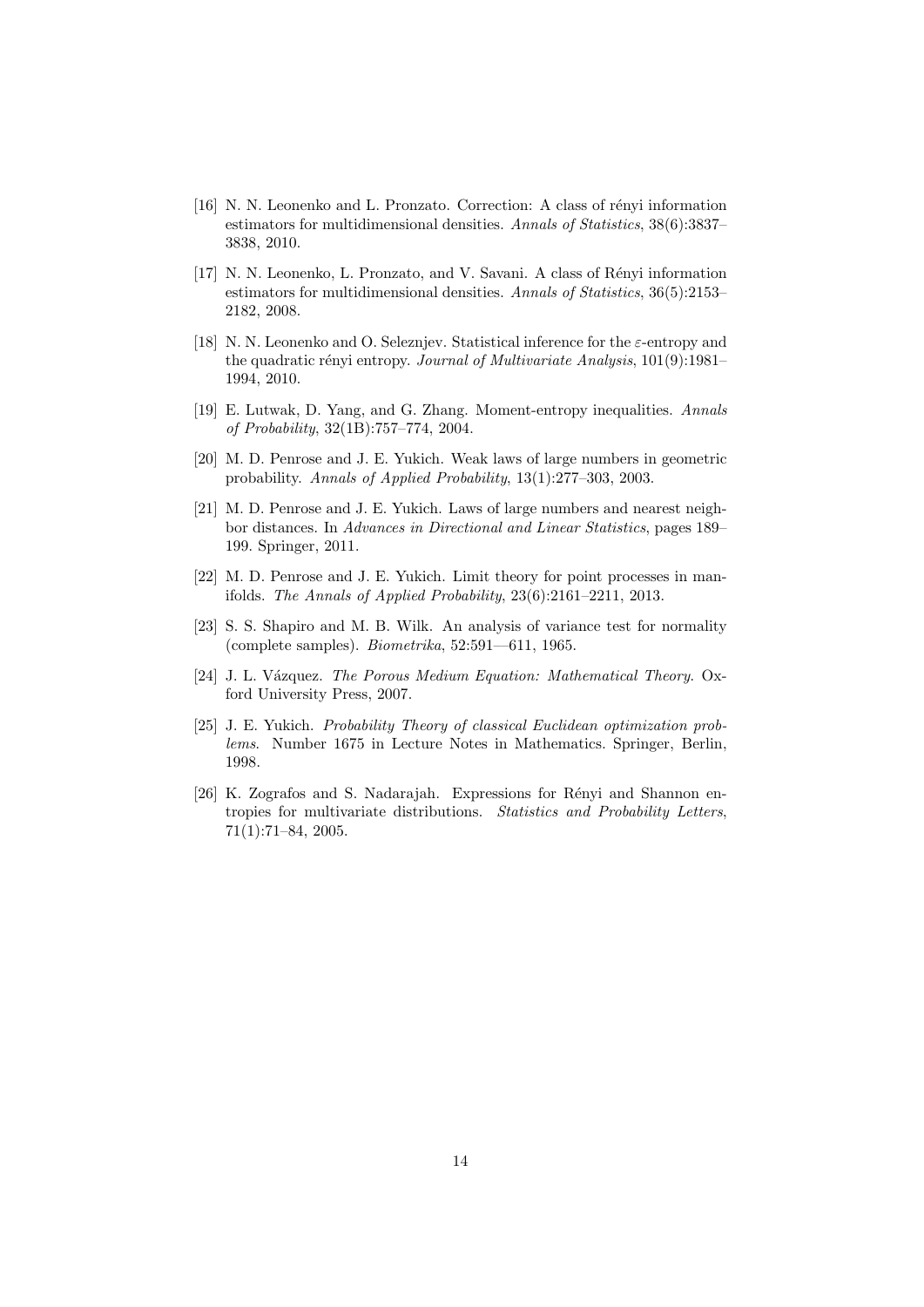- <span id="page-13-1"></span>[16] N. N. Leonenko and L. Pronzato. Correction: A class of rényi information estimators for multidimensional densities. Annals of Statistics, 38(6):3837– 3838, 2010.
- <span id="page-13-0"></span>[17] N. N. Leonenko, L. Pronzato, and V. Savani. A class of R´enyi information estimators for multidimensional densities. Annals of Statistics, 36(5):2153– 2182, 2008.
- <span id="page-13-3"></span>[18] N. N. Leonenko and O. Seleznjev. Statistical inference for the  $\varepsilon$ -entropy and the quadratic rényi entropy. Journal of Multivariate Analysis, 101(9):1981– 1994, 2010.
- <span id="page-13-6"></span>[19] E. Lutwak, D. Yang, and G. Zhang. Moment-entropy inequalities. Annals of Probability, 32(1B):757–774, 2004.
- <span id="page-13-7"></span>[20] M. D. Penrose and J. E. Yukich. Weak laws of large numbers in geometric probability. Annals of Applied Probability, 13(1):277–303, 2003.
- <span id="page-13-2"></span>[21] M. D. Penrose and J. E. Yukich. Laws of large numbers and nearest neighbor distances. In Advances in Directional and Linear Statistics, pages 189– 199. Springer, 2011.
- <span id="page-13-8"></span>[22] M. D. Penrose and J. E. Yukich. Limit theory for point processes in manifolds. The Annals of Applied Probability, 23(6):2161–2211, 2013.
- <span id="page-13-10"></span>[23] S. S. Shapiro and M. B. Wilk. An analysis of variance test for normality (complete samples).  $Biometrika$ ,  $52:591-611$ , 1965.
- <span id="page-13-4"></span>[24] J. L. Vázquez. The Porous Medium Equation: Mathematical Theory. Oxford University Press, 2007.
- <span id="page-13-9"></span>[25] J. E. Yukich. Probability Theory of classical Euclidean optimization problems. Number 1675 in Lecture Notes in Mathematics. Springer, Berlin, 1998.
- <span id="page-13-5"></span>[26] K. Zografos and S. Nadarajah. Expressions for Rényi and Shannon entropies for multivariate distributions. Statistics and Probability Letters, 71(1):71–84, 2005.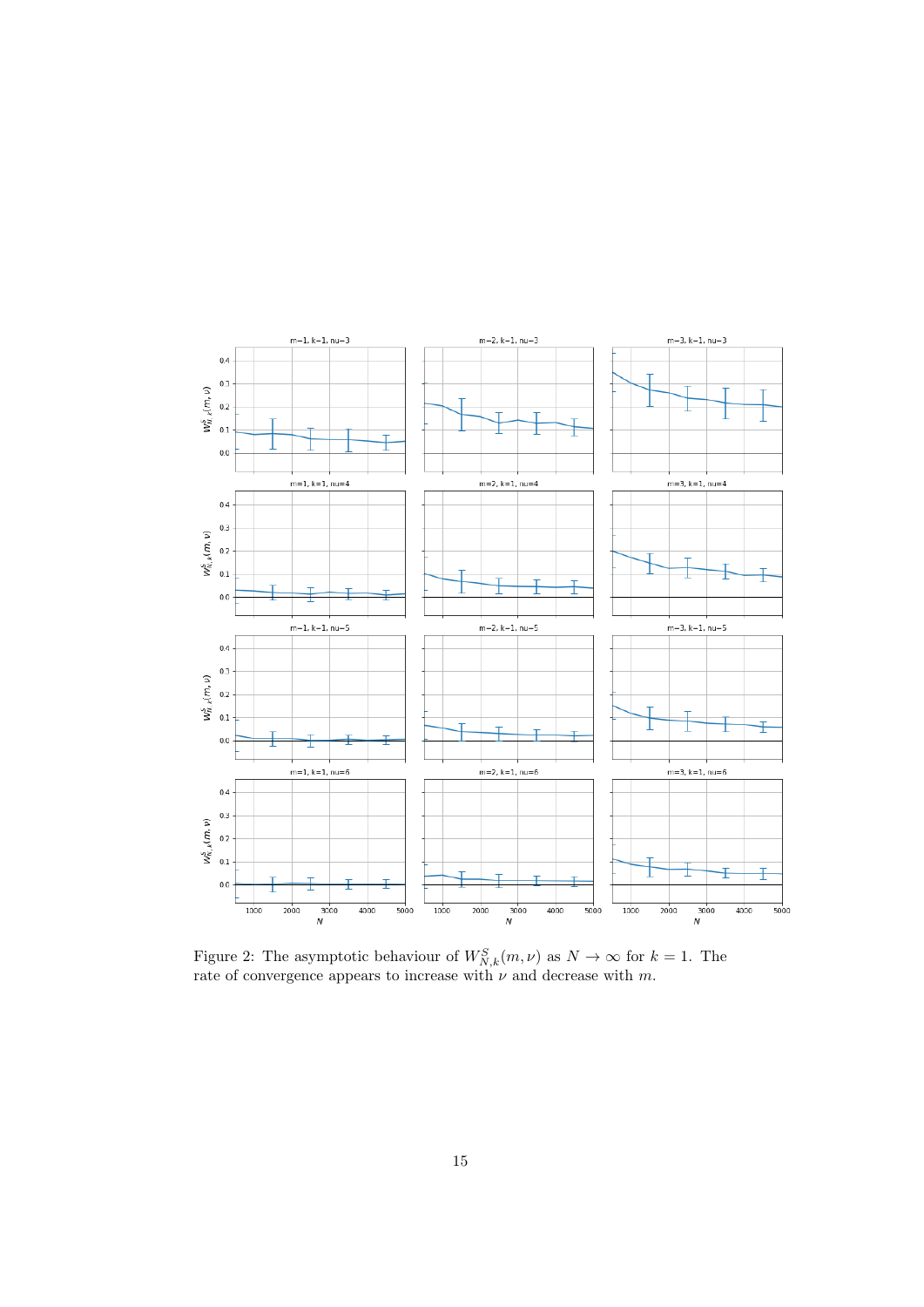<span id="page-14-0"></span>

Figure 2: The asymptotic behaviour of  $W_{N,k}^S(m,\nu)$  as  $N \to \infty$  for  $k = 1$ . The rate of convergence appears to increase with  $\nu$  and decrease with m.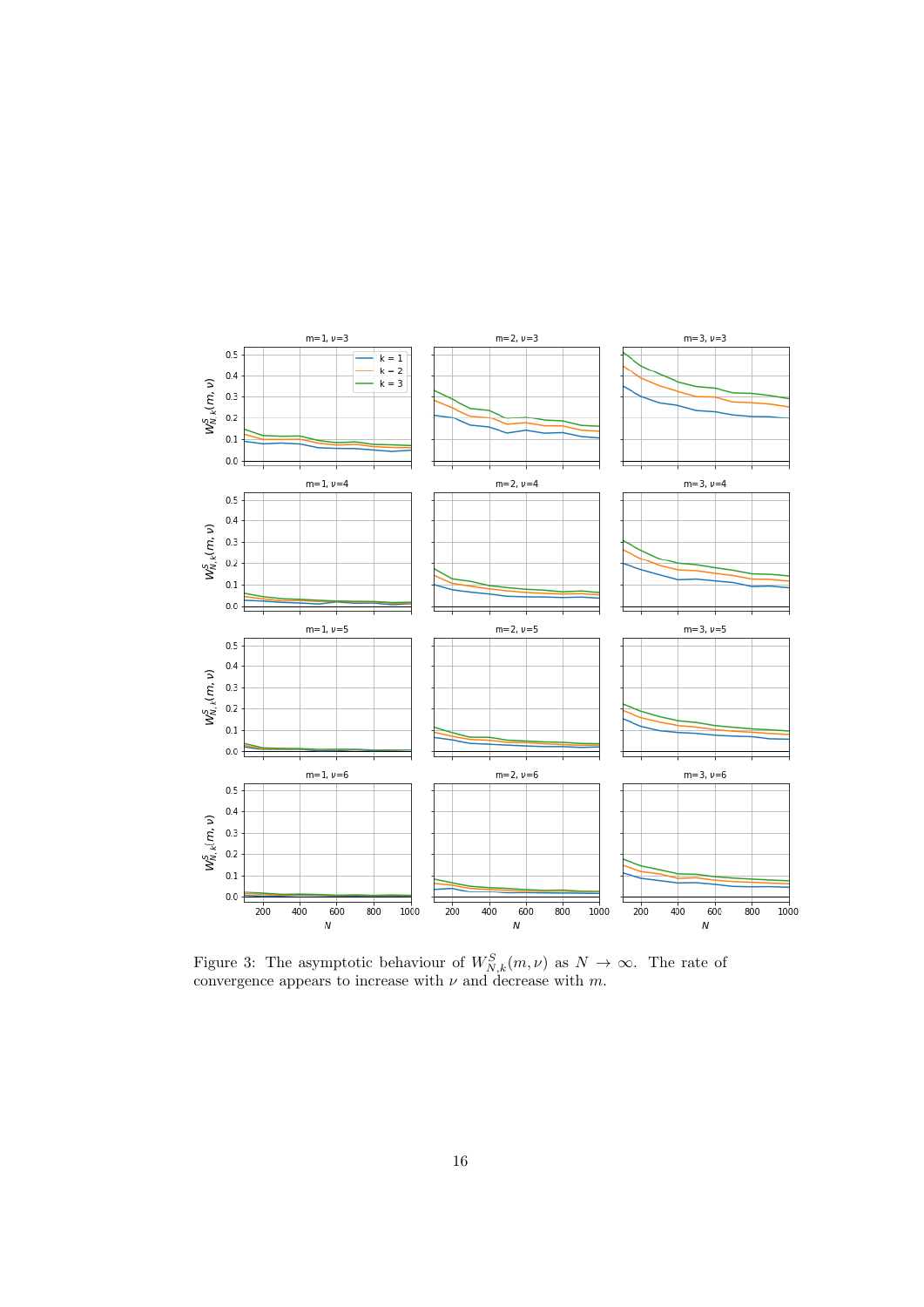<span id="page-15-0"></span>

Figure 3: The asymptotic behaviour of  $W_{N,k}^S(m,\nu)$  as  $N \to \infty$ . The rate of convergence appears to increase with  $\nu$  and decrease with m.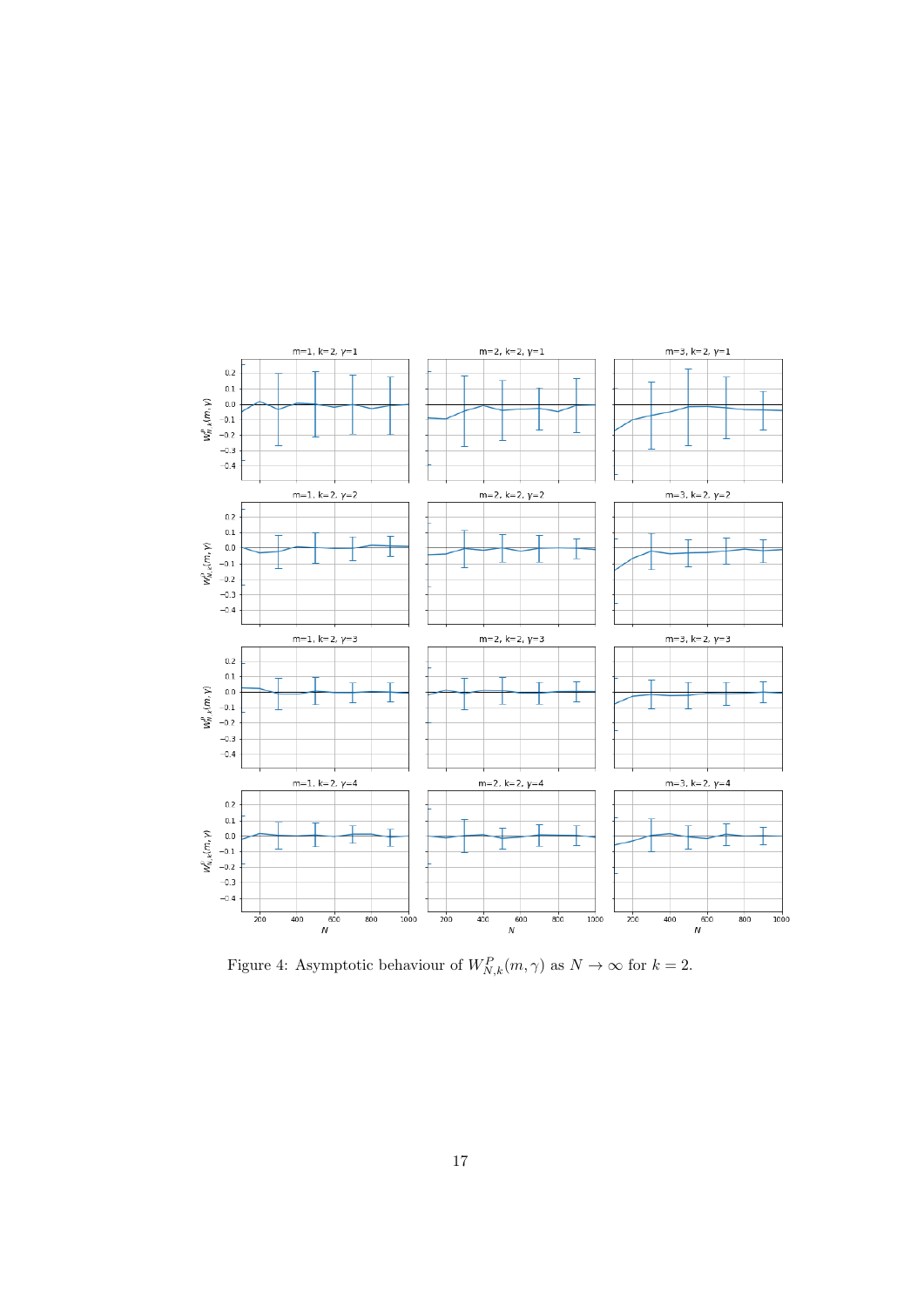<span id="page-16-0"></span>

Figure 4: Asymptotic behaviour of  $W_{N,k}^P(m, \gamma)$  as  $N \to \infty$  for  $k = 2$ .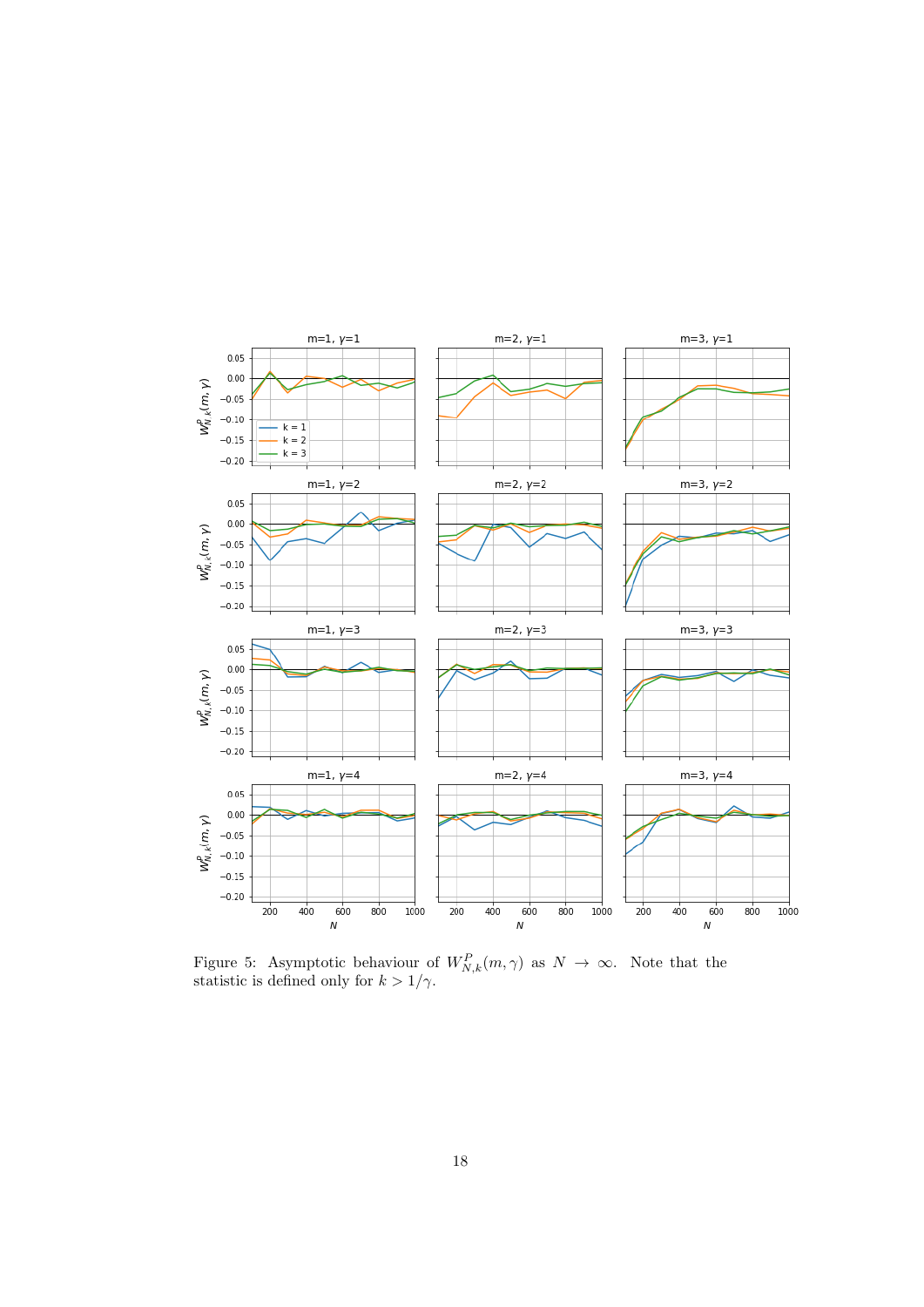<span id="page-17-0"></span>

Figure 5: Asymptotic behaviour of  $W_{N,k}^P(m,\gamma)$  as  $N \to \infty$ . Note that the statistic is defined only for  $k > 1/\gamma$ .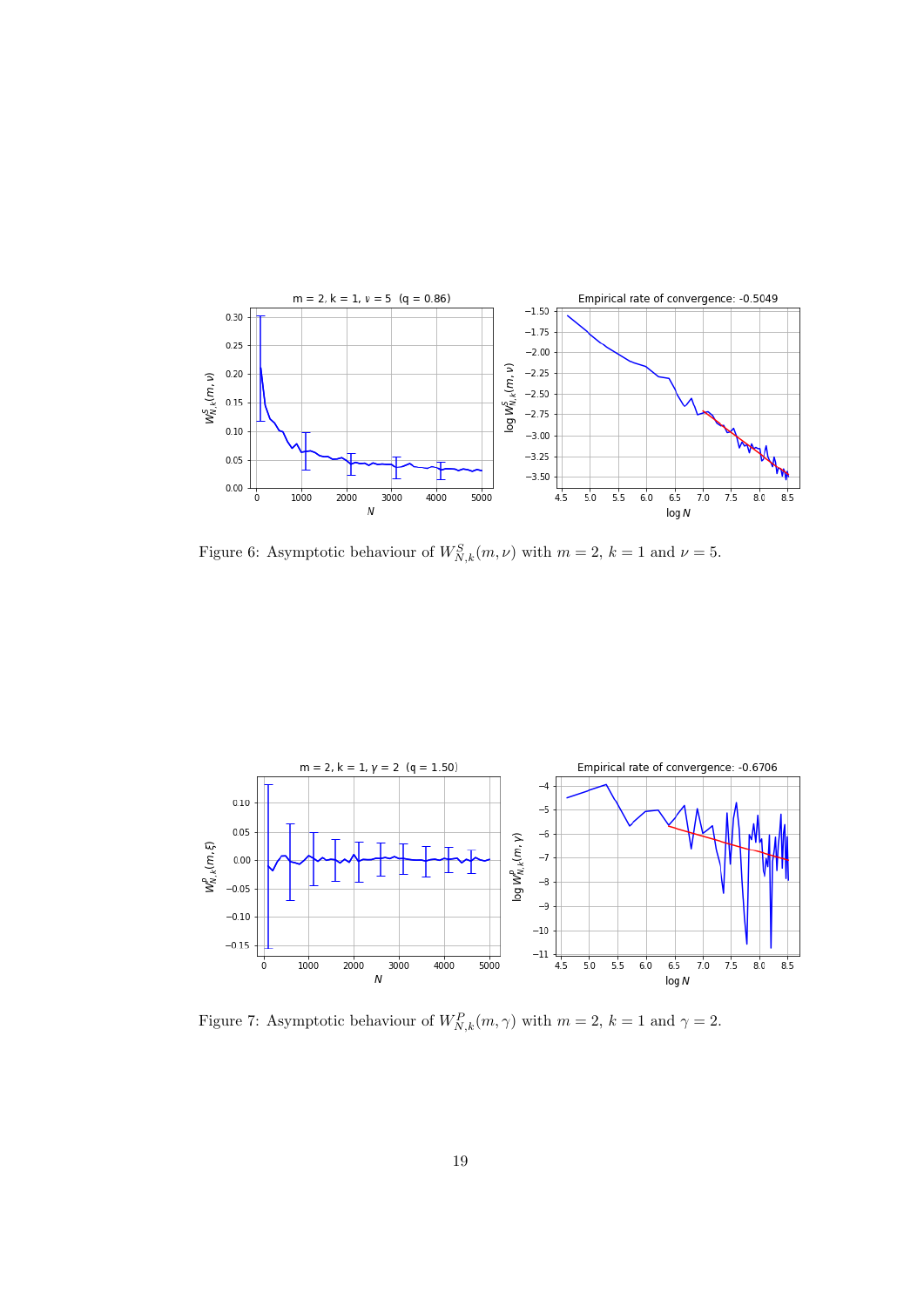<span id="page-18-0"></span>![](_page_18_Figure_0.jpeg)

Figure 6: Asymptotic behaviour of  $W_{N,k}^S(m,\nu)$  with  $m=2, k=1$  and  $\nu=5$ .

<span id="page-18-1"></span>![](_page_18_Figure_2.jpeg)

Figure 7: Asymptotic behaviour of  $W_{N,k}^P(m, \gamma)$  with  $m = 2, k = 1$  and  $\gamma = 2$ .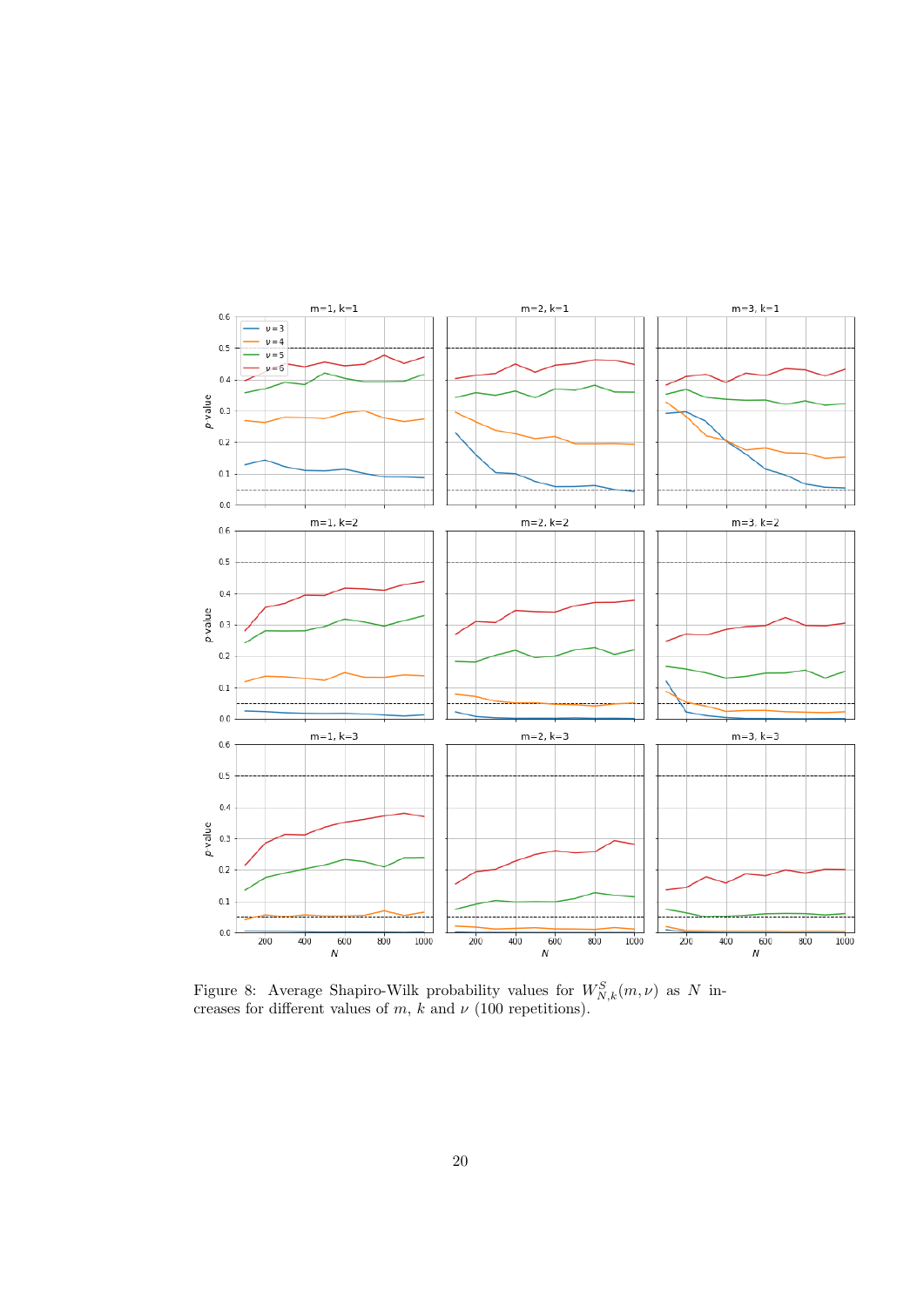<span id="page-19-0"></span>![](_page_19_Figure_0.jpeg)

Figure 8: Average Shapiro-Wilk probability values for  $W_{N,k}^S(m,\nu)$  as N increases for different values of m, k and  $\nu$  (100 repetitions).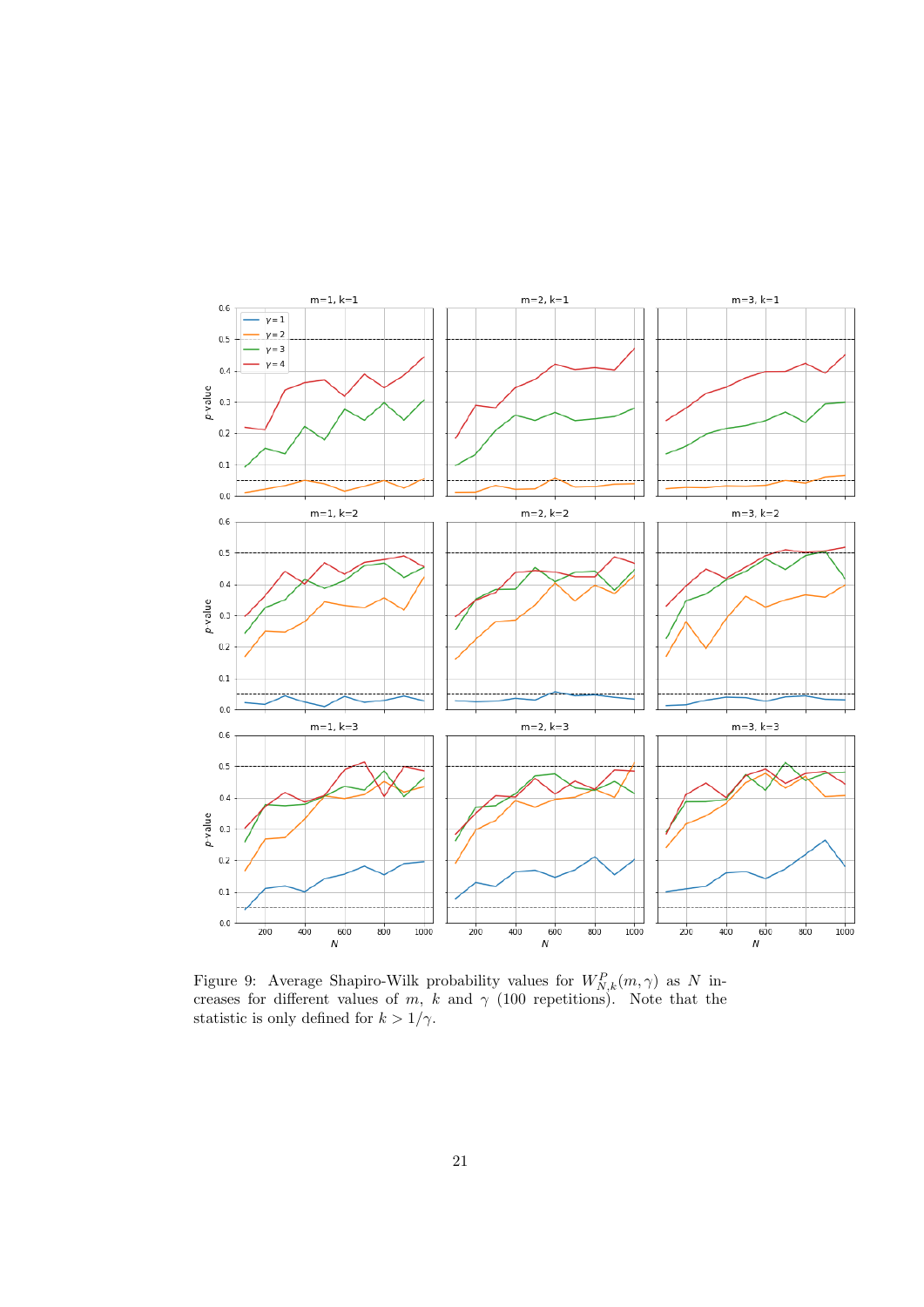<span id="page-20-0"></span>![](_page_20_Figure_0.jpeg)

Figure 9: Average Shapiro-Wilk probability values for  $W_{N,k}^P(m,\gamma)$  as N increases for different values of m, k and  $\gamma$  (100 repetitions). Note that the statistic is only defined for  $k > 1/\gamma$ .